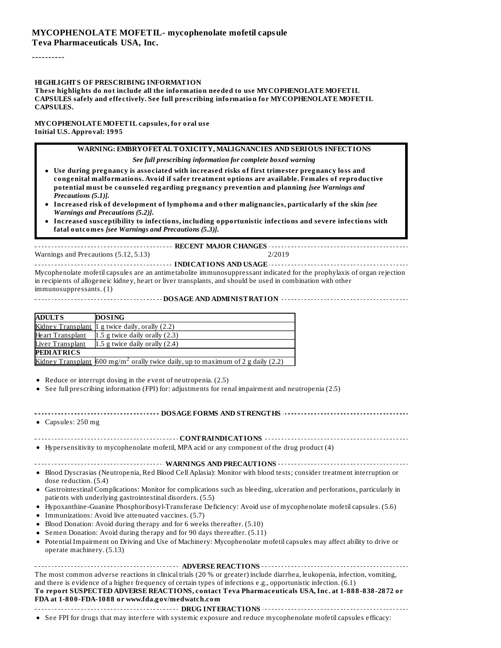----------

#### **HIGHLIGHTS OF PRESCRIBING INFORMATION**

**These highlights do not include all the information needed to use MYCOPHENOLATE MOFETIL CAPSULES safely and effectively. See full prescribing information for MYCOPHENOLATE MOFETIL CAPSULES.**

**MYCOPHENOLATE MOFETIL capsules, for oral use Initial U.S. Approval: 1995**

> **WARNING: EMBRYOFETAL TOXICITY, MALIGNANCIES AND SERIOUS INFECTIONS** *See full prescribing information for complete boxed warning*

- **Use during pregnancy is associated with increased risks of first trimester pregnancy loss and congenital malformations. Avoid if safer treatment options are available. Females of reproductive potential must be counseled regarding pregnancy prevention and planning** *[see Warnings and Precautions (5.1)]***.**
- **Increased risk of development of lymphoma and other malignancies, particularly of the skin** *[see Warnings and Precautions (5.2)]***.**
- **Increased susceptibility to infections, including opportunistic infections and severe infections with fatal outcomes** *[see Warnings and Precautions (5.3)]***.**

**RECENT MAJOR CHANGES** Warnings and Precautions (5.12, 5.13) 2/2019

**INDICATIONS AND USAGE** Mycophenolate mofetil capsules are an antimetabolite immunosuppressant indicated for the prophylaxis of organ rejection in recipients of allogeneic kidney, heart or liver transplants, and should be used in combination with other immunosuppressants. (1)

**DOSAGE AND ADMINISTRATION**

| <b>ADULTS</b>     | <b>DOSING</b>                                                                                         |
|-------------------|-------------------------------------------------------------------------------------------------------|
|                   | Kidney Transplant 1 g twice daily, orally (2.2)                                                       |
| Heart Transplant  | 1.5 g twice daily orally $(2.3)$                                                                      |
| Liver Transplant  | 1.5 g twice daily orally $(2.4)$                                                                      |
| <b>PEDIATRICS</b> |                                                                                                       |
|                   | <u>Kidney Transplant</u> $600$ mg/m <sup>2</sup> orally twice daily, up to maximum of 2 g daily (2.2) |

Reduce or interrupt dosing in the event of neutropenia. (2.5)

See full prescribing information (FPI) for: adjustments for renal impairment and neutropenia (2.5)

#### **DOSAGE FORMS AND STRENGTHS**

Capsules: 250 mg

**CONTRAINDICATIONS CONTRAINDICATIONS CONTRAINDICATIONS** 

Hypersensitivity to mycophenolate mofetil, MPA acid or any component of the drug product (4)

**WARNINGS AND PRECAUTIONS**

- Blood Dyscrasias (Neutropenia, Red Blood Cell Aplasia): Monitor with blood tests; consider treatment interruption or dose reduction. (5.4)
- Gastrointestinal Complications: Monitor for complications such as bleeding, ulceration and perforations, particularly in patients with underlying gastrointestinal disorders. (5.5)
- Hypoxanthine-Guanine Phosphoribosyl-Transferase Deficiency: Avoid use of mycophenolate mofetil capsules. (5.6)
- Immunizations: Avoid live attenuated vaccines. (5.7)
- Blood Donation: Avoid during therapy and for 6 weeks thereafter. (5.10)
- Semen Donation: Avoid during therapy and for 90 days thereafter. (5.11)
- Potential Impairment on Driving and Use of Machinery: Mycophenolate mofetil capsules may affect ability to drive or operate machinery. (5.13)

See FPI for drugs that may interfere with systemic exposure and reduce mycophenolate mofetil capsules efficacy: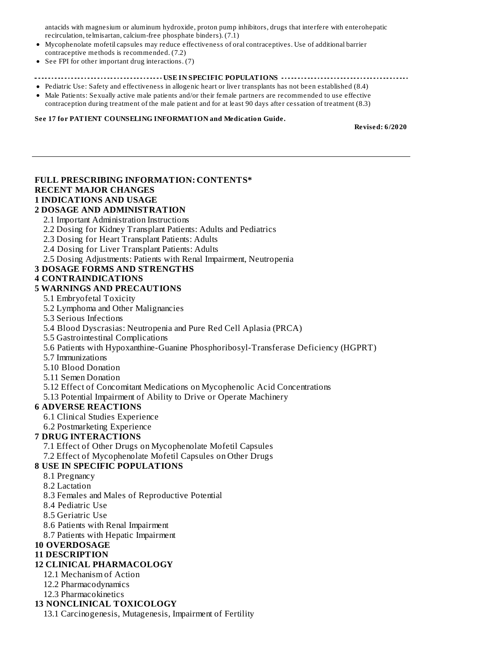antacids with magnesium or aluminum hydroxide, proton pump inhibitors, drugs that interfere with enterohepatic recirculation, telmisartan, calcium-free phosphate binders). (7.1)

- Mycophenolate mofetil capsules may reduce effectiveness of oral contraceptives. Use of additional barrier contraceptive methods is recommended. (7.2)
- See FPI for other important drug interactions. (7)

#### **USEAS IN INCOCONSTRANGE IN SPECIFIC POPULATIONS Express the constrange interaction of the constraint of the constraint of the constraint of the constraint of the constraint of the constraint of the constraint of the**

- Pediatric Use: Safety and effectiveness in allogenic heart or liver transplants has not been established (8.4) Male Patients: Sexually active male patients and/or their female partners are recommended to use effective
- contraception during treatment of the male patient and for at least 90 days after cessation of treatment (8.3)

#### **See 17 for PATIENT COUNSELING INFORMATION and Medication Guide.**

**Revised: 6/2020**

# **FULL PRESCRIBING INFORMATION: CONTENTS\* RECENT MAJOR CHANGES 1 INDICATIONS AND USAGE**

### **2 DOSAGE AND ADMINISTRATION**

- 2.1 Important Administration Instructions
- 2.2 Dosing for Kidney Transplant Patients: Adults and Pediatrics
- 2.3 Dosing for Heart Transplant Patients: Adults
- 2.4 Dosing for Liver Transplant Patients: Adults
- 2.5 Dosing Adjustments: Patients with Renal Impairment, Neutropenia

### **3 DOSAGE FORMS AND STRENGTHS**

### **4 CONTRAINDICATIONS**

### **5 WARNINGS AND PRECAUTIONS**

- 5.1 Embryofetal Toxicity
- 5.2 Lymphoma and Other Malignancies
- 5.3 Serious Infections
- 5.4 Blood Dyscrasias: Neutropenia and Pure Red Cell Aplasia (PRCA)
- 5.5 Gastrointestinal Complications
- 5.6 Patients with Hypoxanthine-Guanine Phosphoribosyl-Transferase Deficiency (HGPRT)
- 5.7 Immunizations
- 5.10 Blood Donation
- 5.11 Semen Donation
- 5.12 Effect of Concomitant Medications on Mycophenolic Acid Concentrations

5.13 Potential Impairment of Ability to Drive or Operate Machinery

### **6 ADVERSE REACTIONS**

- 6.1 Clinical Studies Experience
- 6.2 Postmarketing Experience

### **7 DRUG INTERACTIONS**

- 7.1 Effect of Other Drugs on Mycophenolate Mofetil Capsules
- 7.2 Effect of Mycophenolate Mofetil Capsules on Other Drugs

### **8 USE IN SPECIFIC POPULATIONS**

- 8.1 Pregnancy
- 8.2 Lactation
- 8.3 Females and Males of Reproductive Potential
- 8.4 Pediatric Use
- 8.5 Geriatric Use
- 8.6 Patients with Renal Impairment
- 8.7 Patients with Hepatic Impairment
- **10 OVERDOSAGE**

#### **11 DESCRIPTION**

### **12 CLINICAL PHARMACOLOGY**

- 12.1 Mechanism of Action
- 12.2 Pharmacodynamics
- 12.3 Pharmacokinetics

### **13 NONCLINICAL TOXICOLOGY**

13.1 Carcinogenesis, Mutagenesis, Impairment of Fertility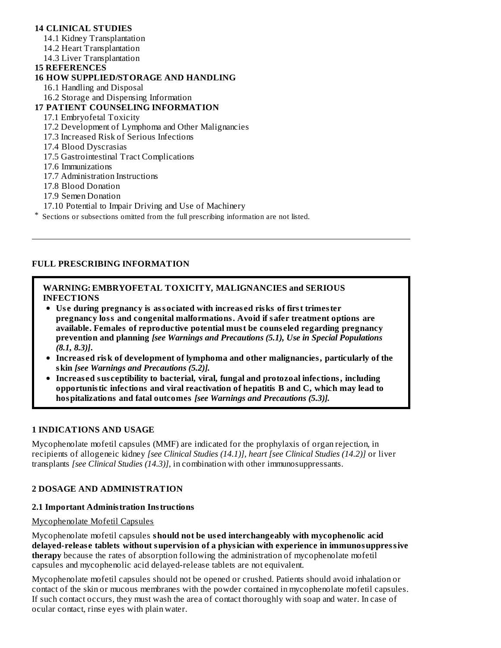# **14 CLINICAL STUDIES**

14.1 Kidney Transplantation

- 14.2 Heart Transplantation
- 14.3 Liver Transplantation

### **15 REFERENCES**

### **16 HOW SUPPLIED/STORAGE AND HANDLING**

16.1 Handling and Disposal

16.2 Storage and Dispensing Information

# **17 PATIENT COUNSELING INFORMATION**

### 17.1 Embryofetal Toxicity

- 17.2 Development of Lymphoma and Other Malignancies
- 17.3 Increased Risk of Serious Infections
- 17.4 Blood Dyscrasias
- 17.5 Gastrointestinal Tract Complications
- 17.6 Immunizations
- 17.7 Administration Instructions
- 17.8 Blood Donation
- 17.9 Semen Donation
- 17.10 Potential to Impair Driving and Use of Machinery
- \* Sections or subsections omitted from the full prescribing information are not listed.

# **FULL PRESCRIBING INFORMATION**

### **WARNING: EMBRYOFETAL TOXICITY, MALIGNANCIES and SERIOUS INFECTIONS**

- **Us e during pregnancy is associated with increas ed risks of first trimester pregnancy loss and congenital malformations. Avoid if safer treatment options are available. Females of reproductive potential must be couns eled regarding pregnancy prevention and planning** *[see Warnings and Precautions (5.1), Use in Special Populations (8.1, 8.3)]***.**
- **Increas ed risk of development of lymphoma and other malignancies, particularly of the skin** *[see Warnings and Precautions (5.2)].*
- **Increas ed sus ceptibility to bacterial, viral, fungal and protozoal infections, including opportunistic infections and viral reactivation of hepatitis B and C, which may lead to hospitalizations and fatal outcomes** *[see Warnings and Precautions (5.3)].*

### **1 INDICATIONS AND USAGE**

Mycophenolate mofetil capsules (MMF) are indicated for the prophylaxis of organ rejection, in recipients of allogeneic kidney *[see Clinical Studies (14.1)], heart [see Clinical Studies (14.2)]* or liver transplants *[see Clinical Studies (14.3)]*, in combination with other immunosuppressants.

### **2 DOSAGE AND ADMINISTRATION**

### **2.1 Important Administration Instructions**

#### Mycophenolate Mofetil Capsules

Mycophenolate mofetil capsules **should not be us ed interchangeably with mycophenolic acid delayed-releas e tablets without supervision of a physician with experience in immunosuppressive therapy** because the rates of absorption following the administration of mycophenolate mofetil capsules and mycophenolic acid delayed-release tablets are not equivalent.

Mycophenolate mofetil capsules should not be opened or crushed. Patients should avoid inhalation or contact of the skin or mucous membranes with the powder contained in mycophenolate mofetil capsules. If such contact occurs, they must wash the area of contact thoroughly with soap and water. In case of ocular contact, rinse eyes with plain water.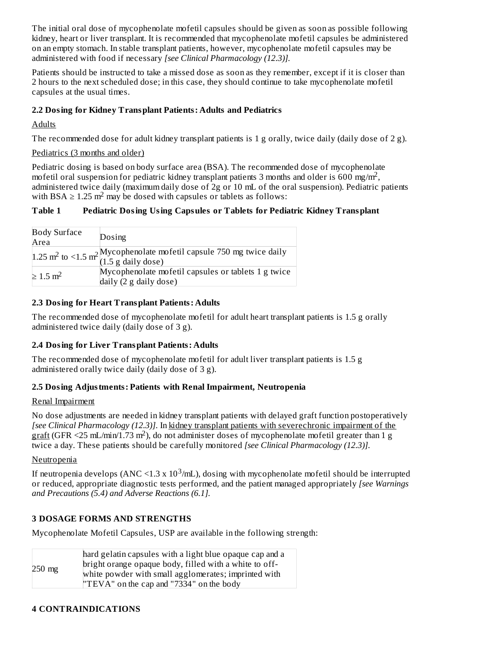The initial oral dose of mycophenolate mofetil capsules should be given as soon as possible following kidney, heart or liver transplant. It is recommended that mycophenolate mofetil capsules be administered on an empty stomach. In stable transplant patients, however, mycophenolate mofetil capsules may be administered with food if necessary *[see Clinical Pharmacology (12.3)].*

Patients should be instructed to take a missed dose as soon as they remember, except if it is closer than 2 hours to the next scheduled dose; in this case, they should continue to take mycophenolate mofetil capsules at the usual times.

# **2.2 Dosing for Kidney Transplant Patients: Adults and Pediatrics**

# Adults

The recommended dose for adult kidney transplant patients is 1 g orally, twice daily (daily dose of 2 g).

### Pediatrics (3 months and older)

Pediatric dosing is based on body surface area (BSA). The recommended dose of mycophenolate mofetil oral suspension for pediatric kidney transplant patients 3 months and older is 600 mg/m<sup>2</sup>, administered twice daily (maximum daily dose of 2g or 10 mL of the oral suspension). Pediatric patients with BSA  $\geq 1.25$  m<sup>2</sup> may be dosed with capsules or tablets as follows:

# **Table 1 Pediatric Dosing Using Capsules or Tablets for Pediatric Kidney Transplant**

| <b>Body Surface</b><br>Area | Dosing                                                                                                         |
|-----------------------------|----------------------------------------------------------------------------------------------------------------|
|                             | 1.25 m <sup>2</sup> to <1.5 m <sup>2</sup> Mycophenolate mofetil capsule 750 mg twice daily (1.5 g daily dose) |
| $\geq 1.5$ m <sup>2</sup>   | Mycophenolate mofetil capsules or tablets 1 g twice<br>daily $(2 \nvert g)$ daily dose)                        |

### **2.3 Dosing for Heart Transplant Patients: Adults**

The recommended dose of mycophenolate mofetil for adult heart transplant patients is 1.5 g orally administered twice daily (daily dose of 3 g).

### **2.4 Dosing for Liver Transplant Patients: Adults**

The recommended dose of mycophenolate mofetil for adult liver transplant patients is 1.5 g administered orally twice daily (daily dose of 3 g).

### **2.5 Dosing Adjustments: Patients with Renal Impairment, Neutropenia**

### Renal Impairment

No dose adjustments are needed in kidney transplant patients with delayed graft function postoperatively *[see Clinical Pharmacology (12.3)]*. In kidney transplant patients with severechronic impairment of the  $graff (GFR < 25 mL/min/1.73 m<sup>2</sup>)$ , do not administer doses of mycophenolate mofetil greater than 1 g twice a day. These patients should be carefully monitored *[see Clinical Pharmacology (12.3)].*

### Neutropenia

If neutropenia develops (ANC <1.3 x  $10^3$ /mL), dosing with mycophenolate mofetil should be interrupted or reduced, appropriate diagnostic tests performed, and the patient managed appropriately *[see Warnings and Precautions (5.4) and Adverse Reactions (6.1].*

### **3 DOSAGE FORMS AND STRENGTHS**

Mycophenolate Mofetil Capsules, USP are available in the following strength:

| $250$ mg | hard gelatin capsules with a light blue opaque cap and a<br>bright orange opaque body, filled with a white to off- |
|----------|--------------------------------------------------------------------------------------------------------------------|
|          | white powder with small agglomerates; imprinted with                                                               |
|          | "TEVA" on the cap and "7334" on the body                                                                           |

### **4 CONTRAINDICATIONS**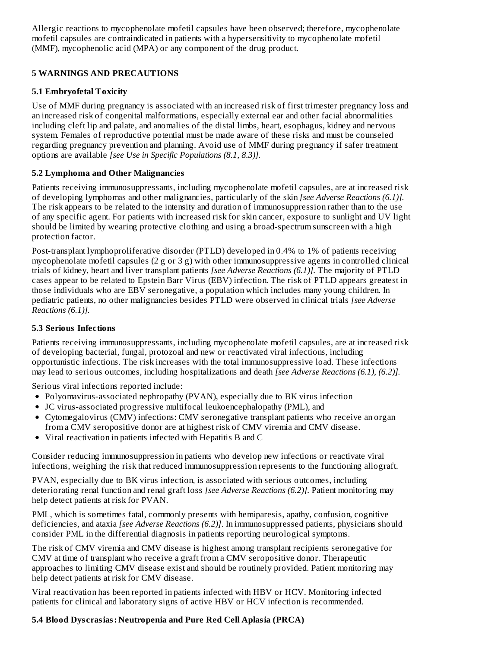Allergic reactions to mycophenolate mofetil capsules have been observed; therefore, mycophenolate mofetil capsules are contraindicated in patients with a hypersensitivity to mycophenolate mofetil (MMF), mycophenolic acid (MPA) or any component of the drug product.

# **5 WARNINGS AND PRECAUTIONS**

# **5.1 Embryofetal Toxicity**

Use of MMF during pregnancy is associated with an increased risk of first trimester pregnancy loss and an increased risk of congenital malformations, especially external ear and other facial abnormalities including cleft lip and palate, and anomalies of the distal limbs, heart, esophagus, kidney and nervous system. Females of reproductive potential must be made aware of these risks and must be counseled regarding pregnancy prevention and planning. Avoid use of MMF during pregnancy if safer treatment options are available *[see Use in Specific Populations (8.1, 8.3)].*

# **5.2 Lymphoma and Other Malignancies**

Patients receiving immunosuppressants, including mycophenolate mofetil capsules, are at increased risk of developing lymphomas and other malignancies, particularly of the skin *[see Adverse Reactions (6.1)].* The risk appears to be related to the intensity and duration of immunosuppression rather than to the use of any specific agent. For patients with increased risk for skin cancer, exposure to sunlight and UV light should be limited by wearing protective clothing and using a broad-spectrum sunscreen with a high protection factor.

Post-transplant lymphoproliferative disorder (PTLD) developed in 0.4% to 1% of patients receiving mycophenolate mofetil capsules (2 g or 3 g) with other immunosuppressive agents in controlled clinical trials of kidney, heart and liver transplant patients *[see Adverse Reactions (6.1)].* The majority of PTLD cases appear to be related to Epstein Barr Virus (EBV) infection. The risk of PTLD appears greatest in those individuals who are EBV seronegative, a population which includes many young children. In pediatric patients, no other malignancies besides PTLD were observed in clinical trials *[see Adverse Reactions (6.1)].*

# **5.3 Serious Infections**

Patients receiving immunosuppressants, including mycophenolate mofetil capsules, are at increased risk of developing bacterial, fungal, protozoal and new or reactivated viral infections, including opportunistic infections. The risk increases with the total immunosuppressive load. These infections may lead to serious outcomes, including hospitalizations and death *[see Adverse Reactions (6.1), (6.2)].*

Serious viral infections reported include:

- Polyomavirus-associated nephropathy (PVAN), especially due to BK virus infection
- JC virus-associated progressive multifocal leukoencephalopathy (PML), and
- Cytomegalovirus (CMV) infections: CMV seronegative transplant patients who receive an organ from a CMV seropositive donor are at highest risk of CMV viremia and CMV disease.
- Viral reactivation in patients infected with Hepatitis B and C

Consider reducing immunosuppression in patients who develop new infections or reactivate viral infections, weighing the risk that reduced immunosuppression represents to the functioning allograft.

PVAN, especially due to BK virus infection, is associated with serious outcomes, including deteriorating renal function and renal graft loss *[see Adverse Reactions (6.2)].* Patient monitoring may help detect patients at risk for PVAN.

PML, which is sometimes fatal, commonly presents with hemiparesis, apathy, confusion, cognitive deficiencies, and ataxia *[see Adverse Reactions (6.2)]*. In immunosuppressed patients, physicians should consider PML in the differential diagnosis in patients reporting neurological symptoms.

The risk of CMV viremia and CMV disease is highest among transplant recipients seronegative for CMV at time of transplant who receive a graft from a CMV seropositive donor. Therapeutic approaches to limiting CMV disease exist and should be routinely provided. Patient monitoring may help detect patients at risk for CMV disease.

Viral reactivation has been reported in patients infected with HBV or HCV. Monitoring infected patients for clinical and laboratory signs of active HBV or HCV infection is recommended.

# **5.4 Blood Dys crasias: Neutropenia and Pure Red Cell Aplasia (PRCA)**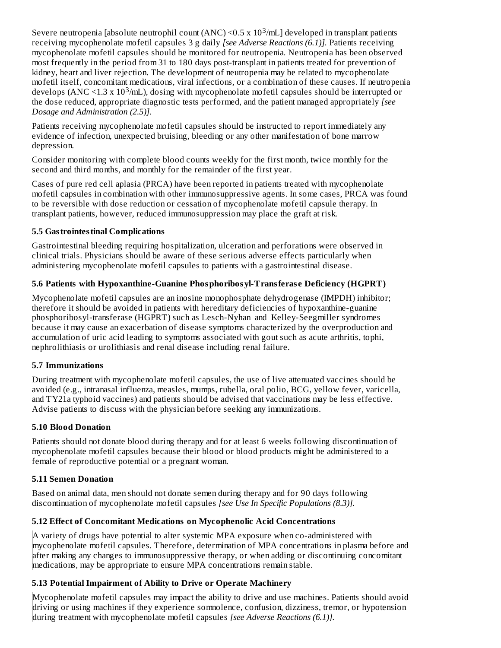Severe neutropenia [absolute neutrophil count (ANC) <  $0.5 \times 10^3$ /mL] developed in transplant patients receiving mycophenolate mofetil capsules 3 g daily *[see Adverse Reactions (6.1)].* Patients receiving mycophenolate mofetil capsules should be monitored for neutropenia*.* Neutropenia has been observed most frequently in the period from 31 to 180 days post-transplant in patients treated for prevention of kidney, heart and liver rejection. The development of neutropenia may be related to mycophenolate mofetil itself, concomitant medications, viral infections, or a combination of these causes. If neutropenia develops (ANC <1.3 x 10<sup>3</sup>/mL), dosing with mycophenolate mofetil capsules should be interrupted or the dose reduced, appropriate diagnostic tests performed, and the patient managed appropriately *[see Dosage and Administration (2.5)].*

Patients receiving mycophenolate mofetil capsules should be instructed to report immediately any evidence of infection, unexpected bruising, bleeding or any other manifestation of bone marrow depression.

Consider monitoring with complete blood counts weekly for the first month, twice monthly for the second and third months, and monthly for the remainder of the first year.

Cases of pure red cell aplasia (PRCA) have been reported in patients treated with mycophenolate mofetil capsules in combination with other immunosuppressive agents. In some cases, PRCA was found to be reversible with dose reduction or cessation of mycophenolate mofetil capsule therapy. In transplant patients, however, reduced immunosuppression may place the graft at risk.

# **5.5 Gastrointestinal Complications**

Gastrointestinal bleeding requiring hospitalization, ulceration and perforations were observed in clinical trials. Physicians should be aware of these serious adverse effects particularly when administering mycophenolate mofetil capsules to patients with a gastrointestinal disease.

# **5.6 Patients with Hypoxanthine-Guanine Phosphoribosyl-Transferas e Deficiency (HGPRT)**

Mycophenolate mofetil capsules are an inosine monophosphate dehydrogenase (IMPDH) inhibitor; therefore it should be avoided in patients with hereditary deficiencies of hypoxanthine-guanine phosphoribosyl-transferase (HGPRT) such as Lesch-Nyhan and Kelley-Seegmiller syndromes because it may cause an exacerbation of disease symptoms characterized by the overproduction and accumulation of uric acid leading to symptoms associated with gout such as acute arthritis, tophi, nephrolithiasis or urolithiasis and renal disease including renal failure.

### **5.7 Immunizations**

During treatment with mycophenolate mofetil capsules, the use of live attenuated vaccines should be avoided (e.g., intranasal influenza, measles, mumps, rubella, oral polio, BCG, yellow fever, varicella, and TY21a typhoid vaccines) and patients should be advised that vaccinations may be less effective. Advise patients to discuss with the physician before seeking any immunizations.

### **5.10 Blood Donation**

Patients should not donate blood during therapy and for at least 6 weeks following discontinuation of mycophenolate mofetil capsules because their blood or blood products might be administered to a female of reproductive potential or a pregnant woman.

# **5.11 Semen Donation**

Based on animal data, men should not donate semen during therapy and for 90 days following discontinuation of mycophenolate mofetil capsules *[see Use In Specific Populations (8.3)].*

### **5.12 Effect of Concomitant Medications on Mycophenolic Acid Concentrations**

A variety of drugs have potential to alter systemic MPA exposure when co-administered with mycophenolate mofetil capsules. Therefore, determination of MPA concentrations in plasma before and after making any changes to immunosuppressive therapy, or when adding or discontinuing concomitant medications, may be appropriate to ensure MPA concentrations remain stable.

# **5.13 Potential Impairment of Ability to Drive or Operate Machinery**

Mycophenolate mofetil capsules may impact the ability to drive and use machines. Patients should avoid driving or using machines if they experience somnolence, confusion, dizziness, tremor, or hypotension during treatment with mycophenolate mofetil capsules *[see Adverse Reactions (6.1)].*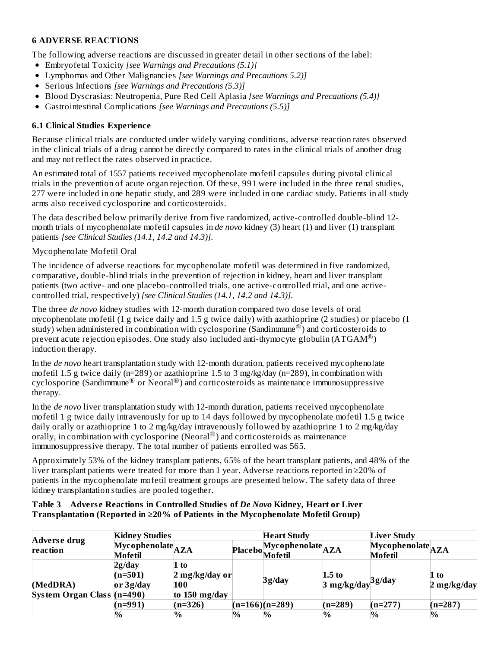# **6 ADVERSE REACTIONS**

The following adverse reactions are discussed in greater detail in other sections of the label:

- Embryofetal Toxicity *[see Warnings and Precautions (5.1)]*
- Lymphomas and Other Malignancies *[see Warnings and Precautions 5.2)]*
- Serious Infections *[see Warnings and Precautions (5.3)]*
- Blood Dyscrasias: Neutropenia, Pure Red Cell Aplasia *[see Warnings and Precautions (5.4)]*
- Gastrointestinal Complications *[see Warnings and Precautions (5.5)]*

# **6.1 Clinical Studies Experience**

Because clinical trials are conducted under widely varying conditions, adverse reaction rates observed in the clinical trials of a drug cannot be directly compared to rates in the clinical trials of another drug and may not reflect the rates observed in practice.

An estimated total of 1557 patients received mycophenolate mofetil capsules during pivotal clinical trials in the prevention of acute organ rejection. Of these, 991 were included in the three renal studies, 277 were included in one hepatic study, and 289 were included in one cardiac study. Patients in all study arms also received cyclosporine and corticosteroids.

The data described below primarily derive from five randomized, active-controlled double-blind 12 month trials of mycophenolate mofetil capsules in *de novo* kidney (3) heart (1) and liver (1) transplant patients *[see Clinical Studies (14.1, 14.2 and 14.3)]*.

### Mycophenolate Mofetil Oral

The incidence of adverse reactions for mycophenolate mofetil was determined in five randomized, comparative, double-blind trials in the prevention of rejection in kidney, heart and liver transplant patients (two active- and one placebo-controlled trials, one active-controlled trial, and one activecontrolled trial, respectively) *[see Clinical Studies (14.1, 14.2 and 14.3)].*

The three *de novo* kidney studies with 12-month duration compared two dose levels of oral mycophenolate mofetil (1 g twice daily and 1.5 g twice daily) with azathioprine (2 studies) or placebo (1 study) when administered in combination with cyclosporine (Sandimmune  $(\overline{\mathbb{R}})$  and corticosteroids to prevent acute rejection episodes. One study also included anti-thymocyte globulin (ATGAM®) induction therapy.

In the *de novo* heart transplantation study with 12-month duration, patients received mycophenolate mofetil 1.5 g twice daily ( $n=289$ ) or azathioprine 1.5 to 3 mg/kg/day ( $n=289$ ), in combination with cyclosporine (Sandimmune® or Neoral®) and corticosteroids as maintenance immunosuppressive therapy.

In the *de novo* liver transplantation study with 12-month duration, patients received mycophenolate mofetil 1 g twice daily intravenously for up to 14 days followed by mycophenolate mofetil 1.5 g twice daily orally or azathioprine 1 to 2 mg/kg/day intravenously followed by azathioprine 1 to 2 mg/kg/day orally, in combination with cyclosporine (Neoral<sup>®</sup>) and corticosteroids as maintenance immunosuppressive therapy. The total number of patients enrolled was 565.

Approximately 53% of the kidney transplant patients, 65% of the heart transplant patients, and 48% of the liver transplant patients were treated for more than 1 year. Adverse reactions reported in ≥20% of patients in the mycophenolate mofetil treatment groups are presented below. The safety data of three kidney transplantation studies are pooled together.

### **Table 3 Advers e Reactions in Controlled Studies of** *De Novo* **Kidney, Heart or Liver Transplantation (Reported in ≥20% of Patients in the Mycophenolate Mofetil Group)**

|                                        | <b>Kidney Studies</b>                                                    |                                                              |      | <b>Heart Study</b>               |                                              | <b>Liver Study</b>                                                      |                                 |
|----------------------------------------|--------------------------------------------------------------------------|--------------------------------------------------------------|------|----------------------------------|----------------------------------------------|-------------------------------------------------------------------------|---------------------------------|
| Adverse drug<br>reaction               | $\widetilde{\mathbf{M}}$ ycophenolate $\mathbf{A}\mathbf{ZA}$<br>Mofetil |                                                              |      | Placebo Mycophenolate<br>Mofetil |                                              | $\overline{\mathbf{M}}$ ycophenolate $\mathbf{A}\mathbf{ZA}$<br>Mofetil |                                 |
| (MedDRA)<br>System Organ Class (n=490) | 2g/day<br>$(n=501)$<br>or $3g/day$                                       | $1$ to<br>$2 \text{ mg/kg/day}$ or<br>100<br>to $150$ mg/day |      | 3g/day                           | $1.5$ to<br>$3 \mathrm{\ mg/kg/day}^3$ g/day |                                                                         | $1$ to<br>$2 \text{ mg/kg/day}$ |
|                                        | $(n=991)$                                                                | $(n=326)$                                                    |      | $(n=166)(n=289)$                 | $(n=289)$                                    | $(n=277)$                                                               | $(n=287)$                       |
|                                        | $\%$                                                                     | $\%$                                                         | $\%$ | $\%$                             | $\%$                                         | $\%$                                                                    | $\%$                            |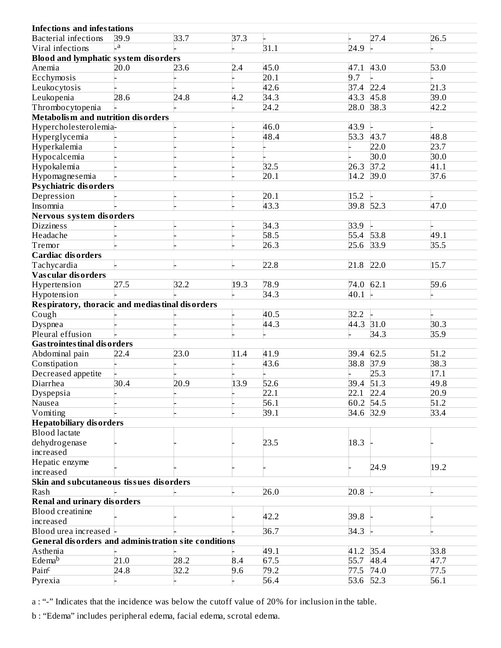| <b>Infections and infestations</b>                   |      |      |      |      |           |      |      |
|------------------------------------------------------|------|------|------|------|-----------|------|------|
| <b>Bacterial infections</b>                          | 39.9 | 33.7 | 37.3 |      |           | 27.4 | 26.5 |
| Viral infections                                     | a.   |      |      | 31.1 | 24.9      |      |      |
| <b>Blood and lymphatic system disorders</b>          |      |      |      |      |           |      |      |
| Anemia                                               | 20.0 | 23.6 | 2.4  | 45.0 | 47.1      | 43.0 | 53.0 |
| Ecchymosis                                           |      |      |      | 20.1 | 9.7       |      |      |
| Leukocytosis                                         |      |      |      | 42.6 | 37.4      | 22.4 | 21.3 |
| Leukopenia                                           | 28.6 | 24.8 | 4.2  | 34.3 | 43.3 45.8 |      | 39.0 |
| Thrombocytopenia                                     |      |      |      | 24.2 | 28.0      | 38.3 | 42.2 |
| <b>Metabolism and nutrition disorders</b>            |      |      |      |      |           |      |      |
| Hypercholesterolemia-                                |      |      |      | 46.0 | 43.9      |      |      |
| Hyperglycemia                                        |      |      |      | 48.4 | 53.3      | 43.7 | 48.8 |
| Hyperkalemia                                         |      |      |      |      |           | 22.0 | 23.7 |
| Hypocalcemia                                         |      |      |      |      |           | 30.0 | 30.0 |
| Hypokalemia                                          |      |      |      | 32.5 | 26.3      | 37.2 | 41.1 |
| Hypomagnesemia                                       |      |      |      | 20.1 | 14.2      | 39.0 | 37.6 |
| Ps ychiatric dis orders                              |      |      |      |      |           |      |      |
| Depression                                           |      |      |      | 20.1 | 15.2      |      |      |
| Insomnia                                             |      |      |      | 43.3 | 39.8      | 52.3 | 47.0 |
| Nervous system disorders                             |      |      |      |      |           |      |      |
| <b>Dizziness</b>                                     |      |      |      | 34.3 | 33.9      |      |      |
| Headache                                             |      |      |      | 58.5 | 55.4      | 53.8 | 49.1 |
| Tremor                                               |      |      |      | 26.3 | 25.6      | 33.9 | 35.5 |
| <b>Cardiac disorders</b>                             |      |      |      |      |           |      |      |
| Tachycardia                                          |      |      |      | 22.8 | 21.8      | 22.0 | 15.7 |
| Vas cular dis orders                                 |      |      |      |      |           |      |      |
| Hypertension                                         | 27.5 | 32.2 | 19.3 | 78.9 | 74.0      | 62.1 | 59.6 |
| Hypotension                                          |      |      |      | 34.3 | 40.1      |      |      |
| Respiratory, thoracic and mediastinal disorders      |      |      |      |      |           |      |      |
| Cough                                                |      |      |      | 40.5 | 32.2      |      |      |
| <b>Dyspnea</b>                                       |      |      |      | 44.3 | 44.3 31.0 |      | 30.3 |
| Pleural effusion                                     |      |      |      |      |           | 34.3 | 35.9 |
| <b>Gas trointes tinal dis orders</b>                 |      |      |      |      |           |      |      |
| Abdominal pain                                       | 22.4 | 23.0 | 11.4 | 41.9 | 39.4      | 62.5 | 51.2 |
| Constipation                                         |      |      |      | 43.6 | 38.8 37.9 |      | 38.3 |
| Decreased appetite                                   |      |      |      |      |           | 25.3 | 17.1 |
| Diarrhea                                             | 30.4 | 20.9 | 13.9 | 52.6 | 39.4 51.3 |      | 49.8 |
| Dyspepsia                                            |      |      |      | 22.1 | 22.1 22.4 |      | 20.9 |
| Nausea                                               |      |      |      | 56.1 | 60.2 54.5 |      | 51.2 |
| Vomiting                                             |      |      |      | 39.1 | 34.6 32.9 |      | 33.4 |
| <b>Hepatobiliary disorders</b>                       |      |      |      |      |           |      |      |
| <b>Blood</b> lactate                                 |      |      |      |      |           |      |      |
| dehydrogenase                                        |      |      |      | 23.5 | 18.3      |      |      |
| increased                                            |      |      |      |      |           |      |      |
| Hepatic enzyme                                       |      |      |      |      |           |      |      |
| increased                                            |      |      |      |      |           | 24.9 | 19.2 |
| Skin and subcutaneous tissues disorders              |      |      |      |      |           |      |      |
| Rash                                                 |      |      |      | 26.0 | 20.8      |      |      |
| <b>Renal and urinary disorders</b>                   |      |      |      |      |           |      |      |
| <b>Blood creatinine</b>                              |      |      |      |      |           |      |      |
| increased                                            |      |      |      | 42.2 | 39.8      |      |      |
| Blood urea increased                                 |      |      |      | 36.7 | 34.3      |      |      |
| General disorders and administration site conditions |      |      |      |      |           |      |      |
| Asthenia                                             |      |      |      | 49.1 | 41.2 35.4 |      | 33.8 |
| Edema <sup>b</sup>                                   | 21.0 | 28.2 | 8.4  | 67.5 | 55.7      | 48.4 | 47.7 |
| Pain <sup>c</sup>                                    | 24.8 | 32.2 | 9.6  | 79.2 | 77.5 74.0 |      | 77.5 |
| Pyrexia                                              |      |      |      | 56.4 | 53.6 52.3 |      | 56.1 |
|                                                      |      |      |      |      |           |      |      |

a : "-" Indicates that the incidence was below the cutoff value of 20% for inclusion in the table.

b : "Edema" includes peripheral edema, facial edema, scrotal edema.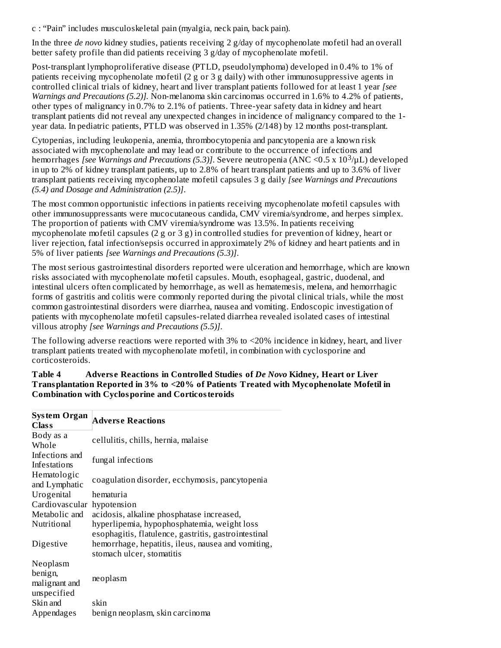c : "Pain" includes musculoskeletal pain (myalgia, neck pain, back pain).

In the three *de novo* kidney studies, patients receiving 2 g/day of mycophenolate mofetil had an overall better safety profile than did patients receiving 3 g/day of mycophenolate mofetil.

Post-transplant lymphoproliferative disease (PTLD, pseudolymphoma) developed in 0.4% to 1% of patients receiving mycophenolate mofetil (2 g or 3 g daily) with other immunosuppressive agents in controlled clinical trials of kidney, heart and liver transplant patients followed for at least 1 year *[see Warnings and Precautions (5.2)].* Non-melanoma skin carcinomas occurred in 1.6% to 4.2% of patients, other types of malignancy in 0.7% to 2.1% of patients. Three-year safety data in kidney and heart transplant patients did not reveal any unexpected changes in incidence of malignancy compared to the 1 year data. In pediatric patients, PTLD was observed in 1.35% (2/148) by 12 months post-transplant.

Cytopenias, including leukopenia, anemia, thrombocytopenia and pancytopenia are a known risk associated with mycophenolate and may lead or contribute to the occurrence of infections and hemorrhages *[see Warnings and Precautions (5.3)]*. Severe neutropenia (ANC <0.5 x 10<sup>3</sup>/µL) developed in up to 2% of kidney transplant patients, up to 2.8% of heart transplant patients and up to 3.6% of liver transplant patients receiving mycophenolate mofetil capsules 3 g daily *[see Warnings and Precautions (5.4) and Dosage and Administration (2.5)]*.

The most common opportunistic infections in patients receiving mycophenolate mofetil capsules with other immunosuppressants were mucocutaneous candida, CMV viremia/syndrome, and herpes simplex. The proportion of patients with CMV viremia/syndrome was 13.5%. In patients receiving mycophenolate mofetil capsules (2 g or 3 g) in controlled studies for prevention of kidney, heart or liver rejection, fatal infection/sepsis occurred in approximately 2% of kidney and heart patients and in 5% of liver patients *[see Warnings and Precautions (5.3)]*.

The most serious gastrointestinal disorders reported were ulceration and hemorrhage, which are known risks associated with mycophenolate mofetil capsules. Mouth, esophageal, gastric, duodenal, and intestinal ulcers often complicated by hemorrhage, as well as hematemesis, melena, and hemorrhagic forms of gastritis and colitis were commonly reported during the pivotal clinical trials, while the most common gastrointestinal disorders were diarrhea, nausea and vomiting. Endoscopic investigation of patients with mycophenolate mofetil capsules-related diarrhea revealed isolated cases of intestinal villous atrophy *[see Warnings and Precautions (5.5)]*.

The following adverse reactions were reported with 3% to <20% incidence in kidney, heart, and liver transplant patients treated with mycophenolate mofetil, in combination with cyclosporine and corticosteroids.

**Table 4 Advers e Reactions in Controlled Studies of** *De Novo* **Kidney, Heart or Liver Transplantation Reported in 3% to <20% of Patients Treated with Mycophenolate Mofetil in Combination with Cyclosporine and Corticosteroids**

| <b>System Organ</b><br>Clas s           | Adverse Reactions                                                                                   |  |  |
|-----------------------------------------|-----------------------------------------------------------------------------------------------------|--|--|
| Body as a                               | cellulitis, chills, hernia, malaise                                                                 |  |  |
| Whole                                   |                                                                                                     |  |  |
| Infections and                          | fungal infections                                                                                   |  |  |
| Infestations                            |                                                                                                     |  |  |
| Hematologic<br>and Lymphatic            | coagulation disorder, ecchymosis, pancytopenia                                                      |  |  |
| Urogenital                              | hematuria                                                                                           |  |  |
| Cardiovascular                          | hypotension                                                                                         |  |  |
| Metabolic and                           | acidosis, alkaline phosphatase increased,                                                           |  |  |
| Nutritional                             | hyperlipemia, hypophosphatemia, weight loss<br>esophagitis, flatulence, gastritis, gastrointestinal |  |  |
| Digestive                               | hemorrhage, hepatitis, ileus, nausea and vomiting,<br>stomach ulcer, stomatitis                     |  |  |
| Neoplasm                                |                                                                                                     |  |  |
| benign,<br>malignant and<br>unspecified | neoplasm                                                                                            |  |  |
| Skin and                                | skin                                                                                                |  |  |
| Appendages                              | benign neoplasm, skin carcinoma                                                                     |  |  |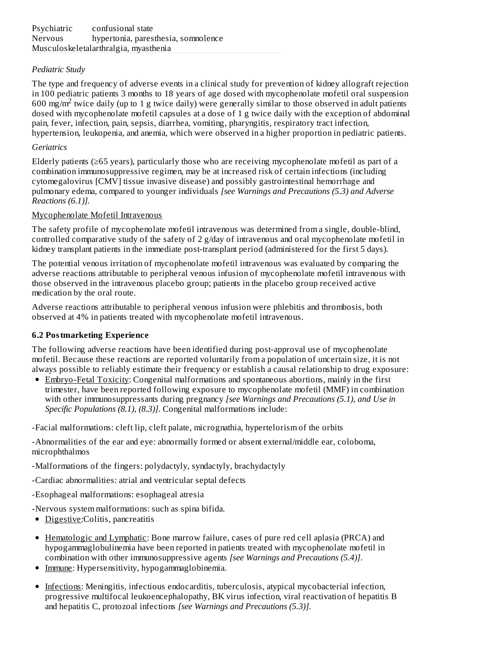# *Pediatric Study*

The type and frequency of adverse events in a clinical study for prevention of kidney allograft rejection in 100 pediatric patients 3 months to 18 years of age dosed with mycophenolate mofetil oral suspension  $600 \text{ mg/m}^2$  twice daily (up to 1 g twice daily) were generally similar to those observed in adult patients dosed with mycophenolate mofetil capsules at a dose of 1 g twice daily with the exception of abdominal pain, fever, infection, pain, sepsis, diarrhea, vomiting, pharyngitis, respiratory tract infection, hypertension, leukopenia, and anemia, which were observed in a higher proportion in pediatric patients.

### *Geriatrics*

Elderly patients (≥65 years), particularly those who are receiving mycophenolate mofetil as part of a combination immunosuppressive regimen, may be at increased risk of certain infections (including cytomegalovirus [CMV] tissue invasive disease) and possibly gastrointestinal hemorrhage and pulmonary edema, compared to younger individuals *[see Warnings and Precautions (5.3) and Adverse Reactions (6.1)].*

### Mycophenolate Mofetil Intravenous

The safety profile of mycophenolate mofetil intravenous was determined from a single, double-blind, controlled comparative study of the safety of 2 g/day of intravenous and oral mycophenolate mofetil in kidney transplant patients in the immediate post-transplant period (administered for the first 5 days).

The potential venous irritation of mycophenolate mofetil intravenous was evaluated by comparing the adverse reactions attributable to peripheral venous infusion of mycophenolate mofetil intravenous with those observed in the intravenous placebo group; patients in the placebo group received active medication by the oral route.

Adverse reactions attributable to peripheral venous infusion were phlebitis and thrombosis, both observed at 4% in patients treated with mycophenolate mofetil intravenous.

### **6.2 Postmarketing Experience**

The following adverse reactions have been identified during post-approval use of mycophenolate mofetil. Because these reactions are reported voluntarily from a population of uncertain size, it is not always possible to reliably estimate their frequency or establish a causal relationship to drug exposure:

Embryo-Fetal Toxicity: Congenital malformations and spontaneous abortions, mainly in the first trimester, have been reported following exposure to mycophenolate mofetil (MMF) in combination with other immunosuppressants during pregnancy *[see Warnings and Precautions (5.1), and Use in Specific Populations (8.1), (8.3)].* Congenital malformations include:

-Facial malformations: cleft lip, cleft palate, micrognathia, hypertelorism of the orbits

-Abnormalities of the ear and eye: abnormally formed or absent external/middle ear, coloboma, microphthalmos

-Malformations of the fingers: polydactyly, syndactyly, brachydactyly

- -Cardiac abnormalities: atrial and ventricular septal defects
- -Esophageal malformations: esophageal atresia
- -Nervous system malformations: such as spina bifida*.*
- Digestive: Colitis, pancreatitis
- Hematologic and Lymphatic: Bone marrow failure, cases of pure red cell aplasia (PRCA) and hypogammaglobulinemia have been reported in patients treated with mycophenolate mofetil in combination with other immunosuppressive agents *[see Warnings and Precautions (5.4)]*.
- Immune: Hypersensitivity, hypogammaglobinemia.
- Infections: Meningitis, infectious endocarditis, tuberculosis, atypical mycobacterial infection, progressive multifocal leukoencephalopathy, BK virus infection, viral reactivation of hepatitis B and hepatitis C, protozoal infections *[see Warnings and Precautions (5.3)]*.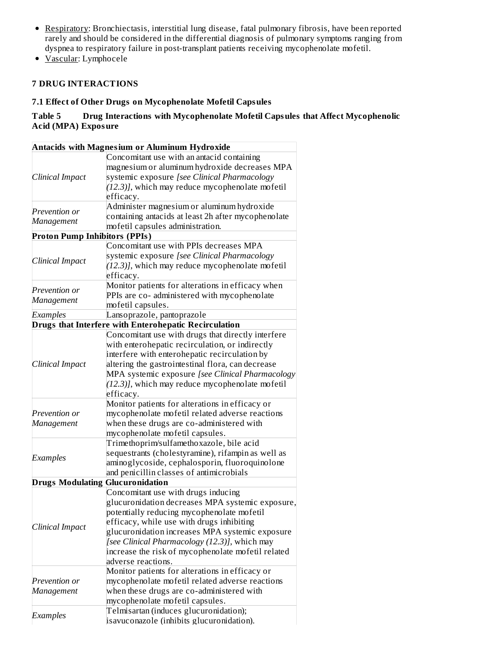- Respiratory: Bronchiectasis, interstitial lung disease, fatal pulmonary fibrosis, have been reported rarely and should be considered in the differential diagnosis of pulmonary symptoms ranging from dyspnea to respiratory failure in post-transplant patients receiving mycophenolate mofetil.
- Vascular: Lymphocele

# **7 DRUG INTERACTIONS**

### **7.1 Effect of Other Drugs on Mycophenolate Mofetil Capsules**

# **Table 5 Drug Interactions with Mycophenolate Mofetil Capsules that Affect Mycophenolic Acid (MPA) Exposure**

|                                      | <b>Antacids with Magnesium or Aluminum Hydroxide</b>  |  |  |
|--------------------------------------|-------------------------------------------------------|--|--|
|                                      | Concomitant use with an antacid containing            |  |  |
|                                      | magnesium or aluminum hydroxide decreases MPA         |  |  |
| Clinical Impact                      | systemic exposure [see Clinical Pharmacology          |  |  |
|                                      | $(12.3)$ ], which may reduce mycophenolate mofetil    |  |  |
|                                      | efficacy.                                             |  |  |
|                                      | Administer magnesium or aluminum hydroxide            |  |  |
| Prevention or                        | containing antacids at least 2h after mycophenolate   |  |  |
| Management                           | mofetil capsules administration.                      |  |  |
| <b>Proton Pump Inhibitors (PPIs)</b> |                                                       |  |  |
|                                      | Concomitant use with PPIs decreases MPA               |  |  |
|                                      | systemic exposure [see Clinical Pharmacology          |  |  |
| Clinical Impact                      | $(12.3)$ ], which may reduce mycophenolate mofetil    |  |  |
|                                      | efficacy.                                             |  |  |
|                                      | Monitor patients for alterations in efficacy when     |  |  |
| Prevention or                        | PPIs are co- administered with mycophenolate          |  |  |
| Management                           | mofetil capsules.                                     |  |  |
| Examples                             | Lansoprazole, pantoprazole                            |  |  |
|                                      | Drugs that Interfere with Enterohepatic Recirculation |  |  |
|                                      | Concomitant use with drugs that directly interfere    |  |  |
|                                      | with enterohepatic recirculation, or indirectly       |  |  |
|                                      | interfere with enterohepatic recirculation by         |  |  |
| Clinical Impact                      | altering the gastrointestinal flora, can decrease     |  |  |
|                                      | MPA systemic exposure [see Clinical Pharmacology      |  |  |
|                                      | $(12.3)$ ], which may reduce mycophenolate mofetil    |  |  |
|                                      | efficacy.                                             |  |  |
|                                      | Monitor patients for alterations in efficacy or       |  |  |
| Prevention or                        | mycophenolate mofetil related adverse reactions       |  |  |
| Management                           | when these drugs are co-administered with             |  |  |
|                                      | mycophenolate mofetil capsules.                       |  |  |
|                                      | Trimethoprim/sulfamethoxazole, bile acid              |  |  |
|                                      | sequestrants (cholestyramine), rifampin as well as    |  |  |
| Examples                             | aminoglycoside, cephalosporin, fluoroquinolone        |  |  |
|                                      | and penicillin classes of antimicrobials              |  |  |
|                                      | <b>Drugs Modulating Glucuronidation</b>               |  |  |
|                                      | Concomitant use with drugs inducing                   |  |  |
|                                      | glucuronidation decreases MPA systemic exposure,      |  |  |
|                                      | potentially reducing mycophenolate mofetil            |  |  |
|                                      | efficacy, while use with drugs inhibiting             |  |  |
| Clinical Impact                      | glucuronidation increases MPA systemic exposure       |  |  |
|                                      | [see Clinical Pharmacology (12.3)], which may         |  |  |
|                                      | increase the risk of mycophenolate mofetil related    |  |  |
|                                      | adverse reactions.                                    |  |  |
|                                      |                                                       |  |  |
|                                      | Monitor patients for alterations in efficacy or       |  |  |
| Prevention or                        | mycophenolate mofetil related adverse reactions       |  |  |
| Management                           | when these drugs are co-administered with             |  |  |
|                                      | mycophenolate mofetil capsules.                       |  |  |
| Examples                             | Telmisartan (induces glucuronidation);                |  |  |
|                                      | isavuconazole (inhibits glucuronidation).             |  |  |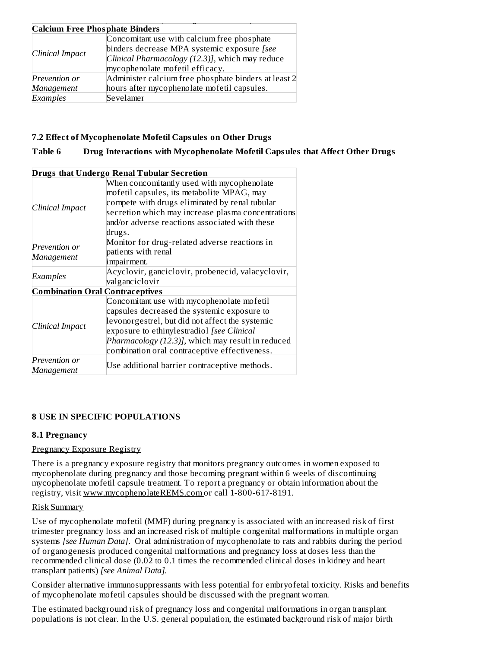| <b>Calcium Free Phosphate Binders</b> |                                                      |  |  |
|---------------------------------------|------------------------------------------------------|--|--|
| Clinical Impact                       | Concomitant use with calcium free phosphate          |  |  |
|                                       | binders decrease MPA systemic exposure [see          |  |  |
|                                       | Clinical Pharmacology (12.3)], which may reduce      |  |  |
|                                       | mycophenolate mofetil efficacy.                      |  |  |
| Prevention or                         | Administer calcium free phosphate binders at least 2 |  |  |
| Management                            | hours after mycophenolate mofetil capsules.          |  |  |
| Examples                              | Sevelamer                                            |  |  |

# **7.2 Effect of Mycophenolate Mofetil Capsules on Other Drugs**

### **Table 6 Drug Interactions with Mycophenolate Mofetil Capsules that Affect Other Drugs**

|                                        | <b>Drugs that Undergo Renal Tubular Secretion</b>                                                                                                                                                                                                                                                |  |  |
|----------------------------------------|--------------------------------------------------------------------------------------------------------------------------------------------------------------------------------------------------------------------------------------------------------------------------------------------------|--|--|
| Clinical Impact                        | When concomitantly used with mycophenolate<br>mofetil capsules, its metabolite MPAG, may<br>compete with drugs eliminated by renal tubular<br>secretion which may increase plasma concentrations<br>and/or adverse reactions associated with these<br>drugs.                                     |  |  |
| Prevention or<br>Management            | Monitor for drug-related adverse reactions in<br>patients with renal<br>impairment.                                                                                                                                                                                                              |  |  |
| Examples                               | Acyclovir, ganciclovir, probenecid, valacyclovir,<br>valganciclovir                                                                                                                                                                                                                              |  |  |
| <b>Combination Oral Contraceptives</b> |                                                                                                                                                                                                                                                                                                  |  |  |
| Clinical Impact                        | Concomitant use with mycophenolate mofetil<br>capsules decreased the systemic exposure to<br>levonorgestrel, but did not affect the systemic<br>exposure to ethinylestradiol [see Clinical<br>Pharmacology (12.3)], which may result in reduced<br>combination oral contraceptive effectiveness. |  |  |
| Prevention or<br>Management            | Use additional barrier contraceptive methods.                                                                                                                                                                                                                                                    |  |  |

# **8 USE IN SPECIFIC POPULATIONS**

### **8.1 Pregnancy**

### Pregnancy Exposure Registry

There is a pregnancy exposure registry that monitors pregnancy outcomes in women exposed to mycophenolate during pregnancy and those becoming pregnant within 6 weeks of discontinuing mycophenolate mofetil capsule treatment. To report a pregnancy or obtain information about the registry, visit www.mycophenolateREMS.com or call 1-800-617-8191.

### Risk Summary

Use of mycophenolate mofetil (MMF) during pregnancy is associated with an increased risk of first trimester pregnancy loss and an increased risk of multiple congenital malformations in multiple organ systems *[see Human Data]*. Oral administration of mycophenolate to rats and rabbits during the period of organogenesis produced congenital malformations and pregnancy loss at doses less than the recommended clinical dose (0.02 to 0.1 times the recommended clinical doses in kidney and heart transplant patients) *[see Animal Data].*

Consider alternative immunosuppressants with less potential for embryofetal toxicity. Risks and benefits of mycophenolate mofetil capsules should be discussed with the pregnant woman.

The estimated background risk of pregnancy loss and congenital malformations in organ transplant populations is not clear*.* In the U.S. general population, the estimated background risk of major birth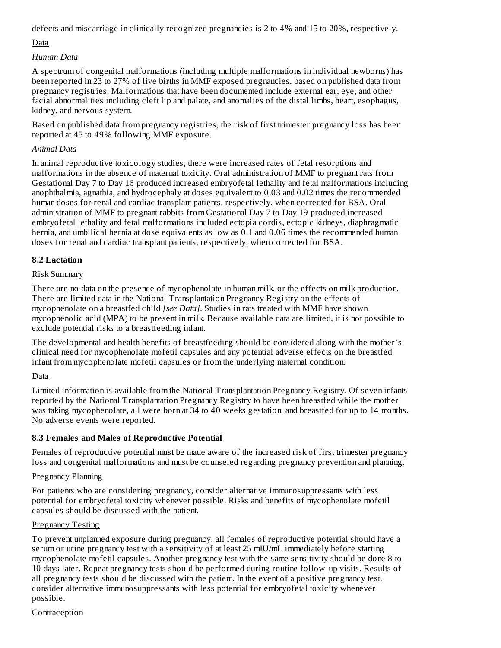defects and miscarriage in clinically recognized pregnancies is 2 to 4% and 15 to 20%, respectively.

# Data

# *Human Data*

A spectrum of congenital malformations (including multiple malformations in individual newborns) has been reported in 23 to 27% of live births in MMF exposed pregnancies, based on published data from pregnancy registries. Malformations that have been documented include external ear, eye, and other facial abnormalities including cleft lip and palate, and anomalies of the distal limbs, heart, esophagus, kidney, and nervous system.

Based on published data from pregnancy registries, the risk of first trimester pregnancy loss has been reported at 45 to 49% following MMF exposure.

# *Animal Data*

In animal reproductive toxicology studies, there were increased rates of fetal resorptions and malformations in the absence of maternal toxicity. Oral administration of MMF to pregnant rats from Gestational Day 7 to Day 16 produced increased embryofetal lethality and fetal malformations including anophthalmia, agnathia, and hydrocephaly at doses equivalent to 0.03 and 0.02 times the recommended human doses for renal and cardiac transplant patients, respectively, when corrected for BSA. Oral administration of MMF to pregnant rabbits from Gestational Day 7 to Day 19 produced increased embryofetal lethality and fetal malformations included ectopia cordis, ectopic kidneys, diaphragmatic hernia, and umbilical hernia at dose equivalents as low as 0.1 and 0.06 times the recommended human doses for renal and cardiac transplant patients, respectively, when corrected for BSA.

# **8.2 Lactation**

# Risk Summary

There are no data on the presence of mycophenolate in human milk, or the effects on milk production. There are limited data in the National Transplantation Pregnancy Registry on the effects of mycophenolate on a breastfed child *[see Data]*. Studies in rats treated with MMF have shown mycophenolic acid (MPA) to be present in milk. Because available data are limited, it is not possible to exclude potential risks to a breastfeeding infant.

The developmental and health benefits of breastfeeding should be considered along with the mother's clinical need for mycophenolate mofetil capsules and any potential adverse effects on the breastfed infant from mycophenolate mofetil capsules or from the underlying maternal condition.

# Data

Limited information is available from the National Transplantation Pregnancy Registry. Of seven infants reported by the National Transplantation Pregnancy Registry to have been breastfed while the mother was taking mycophenolate, all were born at 34 to 40 weeks gestation, and breastfed for up to 14 months. No adverse events were reported.

# **8.3 Females and Males of Reproductive Potential**

Females of reproductive potential must be made aware of the increased risk of first trimester pregnancy loss and congenital malformations and must be counseled regarding pregnancy prevention and planning.

# Pregnancy Planning

For patients who are considering pregnancy, consider alternative immunosuppressants with less potential for embryofetal toxicity whenever possible. Risks and benefits of mycophenolate mofetil capsules should be discussed with the patient.

# Pregnancy Testing

To prevent unplanned exposure during pregnancy, all females of reproductive potential should have a serum or urine pregnancy test with a sensitivity of at least 25 mIU/mL immediately before starting mycophenolate mofetil capsules. Another pregnancy test with the same sensitivity should be done 8 to 10 days later. Repeat pregnancy tests should be performed during routine follow-up visits. Results of all pregnancy tests should be discussed with the patient. In the event of a positive pregnancy test, consider alternative immunosuppressants with less potential for embryofetal toxicity whenever possible.

Contraception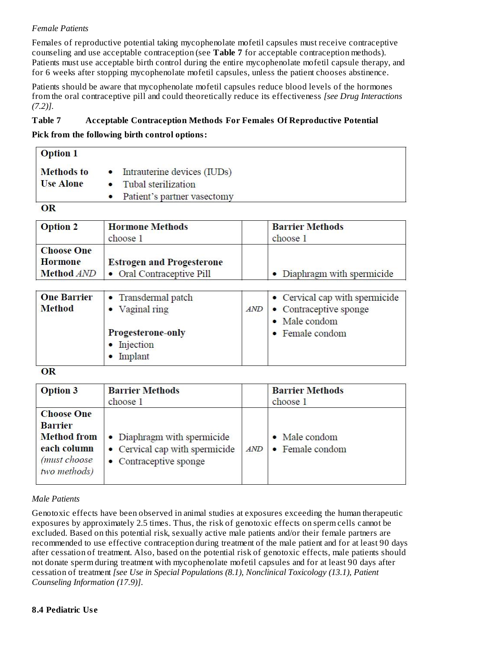# *Female Patients*

Females of reproductive potential taking mycophenolate mofetil capsules must receive contraceptive counseling and use acceptable contraception (see **Table 7** for acceptable contraception methods). Patients must use acceptable birth control during the entire mycophenolate mofetil capsule therapy, and for 6 weeks after stopping mycophenolate mofetil capsules, unless the patient chooses abstinence.

Patients should be aware that mycophenolate mofetil capsules reduce blood levels of the hormones from the oral contraceptive pill and could theoretically reduce its effectiveness *[see Drug Interactions (7.2)].*

# **Table 7 Acceptable Contraception Methods For Females Of Reproductive Potential**

### **Pick from the following birth control options:**

| <b>Option 1</b>  |                               |  |
|------------------|-------------------------------|--|
| Methods to       | • Intrauterine devices (IUDs) |  |
| <b>Use Alone</b> | • Tubal sterilization         |  |
|                  | • Patient's partner vasectomy |  |
| $\alpha$         |                               |  |

### **OK**

| <b>Option 2</b>                                          | <b>Hormone Methods</b><br>choose 1                            | <b>Barrier Methods</b><br>choose 1 |
|----------------------------------------------------------|---------------------------------------------------------------|------------------------------------|
| <b>Choose One</b><br><b>Hormone</b><br><b>Method AND</b> | <b>Estrogen and Progesterone</b><br>• Oral Contraceptive Pill | • Diaphragm with spermicide        |

| <b>One Barrier</b><br><b>Method</b> | • Transdermal patch<br>• Vaginal ring<br>Progesterone-only<br>• Injection<br>Implant | AND | • Cervical cap with spermicide<br>• Contraceptive sponge<br>• Male condom<br>• Female condom |
|-------------------------------------|--------------------------------------------------------------------------------------|-----|----------------------------------------------------------------------------------------------|
|-------------------------------------|--------------------------------------------------------------------------------------|-----|----------------------------------------------------------------------------------------------|

OR

| <b>Option 3</b>                                                                                          | <b>Barrier Methods</b><br>choose 1                                                      |     | <b>Barrier Methods</b><br>choose 1 |  |
|----------------------------------------------------------------------------------------------------------|-----------------------------------------------------------------------------------------|-----|------------------------------------|--|
| <b>Choose One</b><br><b>Barrier</b><br><b>Method</b> from<br>each column<br>(must choose<br>two methods) | • Diaphragm with spermicide<br>• Cervical cap with spermicide<br>• Contraceptive sponge | AND | • Male condom<br>• Female condom   |  |

### *Male Patients*

Genotoxic effects have been observed in animal studies at exposures exceeding the human therapeutic exposures by approximately 2.5 times. Thus, the risk of genotoxic effects on sperm cells cannot be excluded. Based on this potential risk, sexually active male patients and/or their female partners are recommended to use effective contraception during treatment of the male patient and for at least 90 days after cessation of treatment. Also, based on the potential risk of genotoxic effects, male patients should not donate sperm during treatment with mycophenolate mofetil capsules and for at least 90 days after cessation of treatment *[see Use in Special Populations (8.1), Nonclinical Toxicology (13.1), Patient Counseling Information (17.9)]*.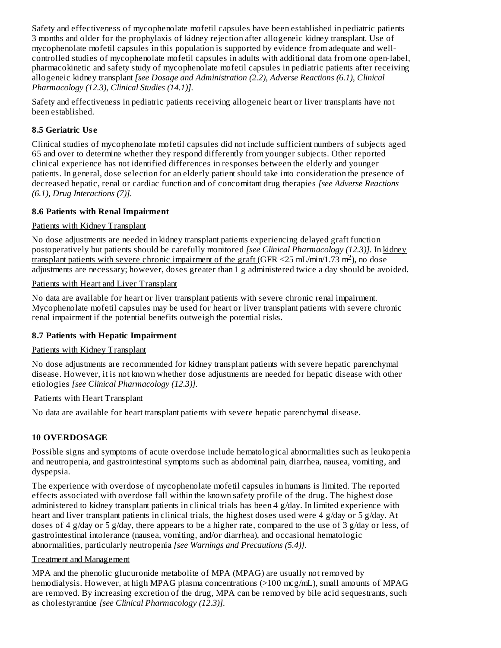Safety and effectiveness of mycophenolate mofetil capsules have been established in pediatric patients 3 months and older for the prophylaxis of kidney rejection after allogeneic kidney transplant. Use of mycophenolate mofetil capsules in this population is supported by evidence from adequate and wellcontrolled studies of mycophenolate mofetil capsules in adults with additional data from one open-label, pharmacokinetic and safety study of mycophenolate mofetil capsules in pediatric patients after receiving allogeneic kidney transplant *[see Dosage and Administration (2.2), Adverse Reactions (6.1), Clinical Pharmacology (12.3), Clinical Studies (14.1)].*

Safety and effectiveness in pediatric patients receiving allogeneic heart or liver transplants have not been established.

# **8.5 Geriatric Us e**

Clinical studies of mycophenolate mofetil capsules did not include sufficient numbers of subjects aged 65 and over to determine whether they respond differently from younger subjects. Other reported clinical experience has not identified differences in responses between the elderly and younger patients. In general, dose selection for an elderly patient should take into consideration the presence of decreased hepatic, renal or cardiac function and of concomitant drug therapies *[see Adverse Reactions (6.1), Drug Interactions (7)].*

# **8.6 Patients with Renal Impairment**

### Patients with Kidney Transplant

No dose adjustments are needed in kidney transplant patients experiencing delayed graft function postoperatively but patients should be carefully monitored *[see Clinical Pharmacology (12.3)].* In kidney  $\frac{1}{2}$  transplant patients with severe chronic impairment of the graft (GFR <25 mL/min/1.73 m<sup>2</sup>), no dose adjustments are necessary; however, doses greater than 1 g administered twice a day should be avoided.

# Patients with Heart and Liver Transplant

No data are available for heart or liver transplant patients with severe chronic renal impairment. Mycophenolate mofetil capsules may be used for heart or liver transplant patients with severe chronic renal impairment if the potential benefits outweigh the potential risks.

### **8.7 Patients with Hepatic Impairment**

### Patients with Kidney Transplant

No dose adjustments are recommended for kidney transplant patients with severe hepatic parenchymal disease. However, it is not known whether dose adjustments are needed for hepatic disease with other etiologies *[see Clinical Pharmacology (12.3)].*

### Patients with Heart Transplant

No data are available for heart transplant patients with severe hepatic parenchymal disease.

# **10 OVERDOSAGE**

Possible signs and symptoms of acute overdose include hematological abnormalities such as leukopenia and neutropenia, and gastrointestinal symptoms such as abdominal pain, diarrhea, nausea, vomiting, and dyspepsia.

The experience with overdose of mycophenolate mofetil capsules in humans is limited. The reported effects associated with overdose fall within the known safety profile of the drug. The highest dose administered to kidney transplant patients in clinical trials has been 4 g/day. In limited experience with heart and liver transplant patients in clinical trials, the highest doses used were 4 g/day or 5 g/day. At doses of 4 g/day or 5 g/day, there appears to be a higher rate, compared to the use of 3 g/day or less, of gastrointestinal intolerance (nausea, vomiting, and/or diarrhea), and occasional hematologic abnormalities, particularly neutropenia *[see Warnings and Precautions (5.4)]*.

### Treatment and Management

MPA and the phenolic glucuronide metabolite of MPA (MPAG) are usually not removed by hemodialysis. However, at high MPAG plasma concentrations (>100 mcg/mL), small amounts of MPAG are removed. By increasing excretion of the drug, MPA can be removed by bile acid sequestrants, such as cholestyramine *[see Clinical Pharmacology (12.3)].*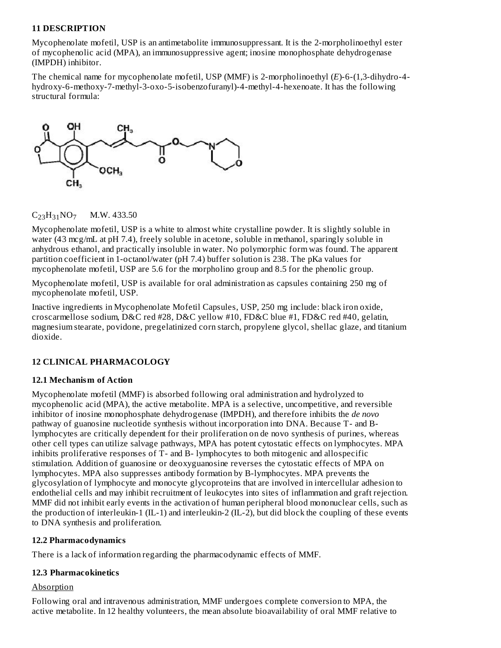### **11 DESCRIPTION**

Mycophenolate mofetil, USP is an antimetabolite immunosuppressant. It is the 2-morpholinoethyl ester of mycophenolic acid (MPA), an immunosuppressive agent; inosine monophosphate dehydrogenase (IMPDH) inhibitor.

The chemical name for mycophenolate mofetil, USP (MMF) is 2-morpholinoethyl (*E*)-6-(1,3-dihydro-4 hydroxy-6-methoxy-7-methyl-3-oxo-5-isobenzofuranyl)-4-methyl-4-hexenoate. It has the following structural formula:



# $C_{23}H_{31}NO_7$  M.W. 433.50

Mycophenolate mofetil, USP is a white to almost white crystalline powder. It is slightly soluble in water (43 mcg/mL at pH 7.4), freely soluble in acetone, soluble in methanol, sparingly soluble in anhydrous ethanol, and practically insoluble in water. No polymorphic form was found. The apparent partition coefficient in 1-octanol/water (pH 7.4) buffer solution is 238. The pKa values for mycophenolate mofetil, USP are 5.6 for the morpholino group and 8.5 for the phenolic group.

Mycophenolate mofetil, USP is available for oral administration as capsules containing 250 mg of mycophenolate mofetil, USP.

Inactive ingredients in Mycophenolate Mofetil Capsules, USP, 250 mg include: black iron oxide, croscarmellose sodium, D&C red #28, D&C yellow #10, FD&C blue #1, FD&C red #40, gelatin, magnesium stearate, povidone, pregelatinized corn starch, propylene glycol, shellac glaze, and titanium dioxide.

# **12 CLINICAL PHARMACOLOGY**

# **12.1 Mechanism of Action**

Mycophenolate mofetil (MMF) is absorbed following oral administration and hydrolyzed to mycophenolic acid (MPA), the active metabolite. MPA is a selective, uncompetitive, and reversible inhibitor of inosine monophosphate dehydrogenase (IMPDH), and therefore inhibits the *de novo* pathway of guanosine nucleotide synthesis without incorporation into DNA. Because T- and Blymphocytes are critically dependent for their proliferation on de novo synthesis of purines, whereas other cell types can utilize salvage pathways, MPA has potent cytostatic effects on lymphocytes. MPA inhibits proliferative responses of T- and B- lymphocytes to both mitogenic and allospecific stimulation. Addition of guanosine or deoxyguanosine reverses the cytostatic effects of MPA on lymphocytes. MPA also suppresses antibody formation by B-lymphocytes. MPA prevents the glycosylation of lymphocyte and monocyte glycoproteins that are involved in intercellular adhesion to endothelial cells and may inhibit recruitment of leukocytes into sites of inflammation and graft rejection. MMF did not inhibit early events in the activation of human peripheral blood mononuclear cells, such as the production of interleukin-1 (IL-1) and interleukin-2 (IL-2), but did block the coupling of these events to DNA synthesis and proliferation.

### **12.2 Pharmacodynamics**

There is a lack of information regarding the pharmacodynamic effects of MMF.

# **12.3 Pharmacokinetics**

# Absorption

Following oral and intravenous administration, MMF undergoes complete conversion to MPA, the active metabolite. In 12 healthy volunteers, the mean absolute bioavailability of oral MMF relative to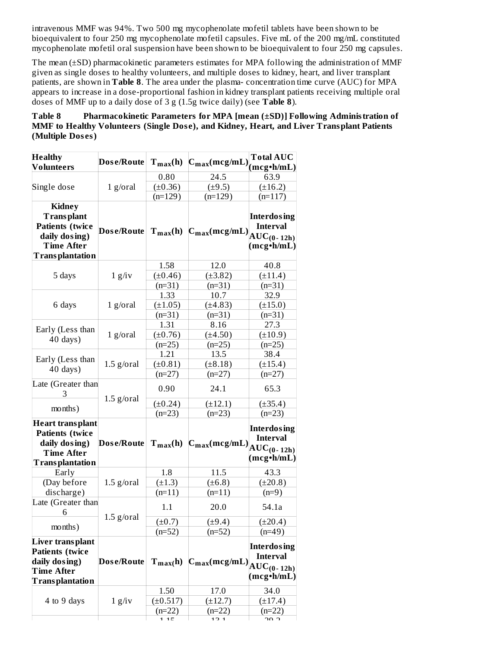intravenous MMF was 94%. Two 500 mg mycophenolate mofetil tablets have been shown to be bioequivalent to four 250 mg mycophenolate mofetil capsules. Five mL of the 200 mg/mL constituted mycophenolate mofetil oral suspension have been shown to be bioequivalent to four 250 mg capsules.

The mean (±SD) pharmacokinetic parameters estimates for MPA following the administration of MMF given as single doses to healthy volunteers, and multiple doses to kidney, heart, and liver transplant patients, are shown in **Table 8**. The area under the plasma- concentration time curve (AUC) for MPA appears to increase in a dose-proportional fashion in kidney transplant patients receiving multiple oral doses of MMF up to a daily dose of 3 g (1.5g twice daily) (see **Table 8**).

# **Table 8 Pharmacokinetic Parameters for MPA [mean (±SD)] Following Administration of MMF to Healthy Volunteers (Single Dos e), and Kidney, Heart, and Liver Transplant Patients (Multiple Dos es)**

| <b>Healthy</b>                                                                                                               | Dose/Route   |               |                                             | <b>Total AUC</b>                                                       |
|------------------------------------------------------------------------------------------------------------------------------|--------------|---------------|---------------------------------------------|------------------------------------------------------------------------|
| Volunteers                                                                                                                   |              |               | $T_{max}(h)$ $C_{max}(mcg/mL)$ $(mcg*h/mL)$ |                                                                        |
|                                                                                                                              |              | 0.80          | 24.5                                        | 63.9                                                                   |
| Single dose                                                                                                                  | $1$ g/oral   | $(\pm 0.36)$  | $(\pm 9.5)$                                 | $(\pm 16.2)$                                                           |
|                                                                                                                              |              | $(n=129)$     | $(n=129)$                                   | $(n=117)$                                                              |
| <b>Kidney</b><br><b>Transplant</b><br><b>Patients</b> (twice<br>daily dosing)<br><b>Time After</b><br><b>Transplantation</b> |              |               | Dose/Route $T_{max}(h)$ $C_{max}(mcg/mL)$   | <b>Interdosing</b><br><b>Interval</b><br>$AUC_{(0-12h)}$<br>(mcg·h/mL) |
|                                                                                                                              |              | 1.58          | 12.0                                        | 40.8                                                                   |
| 5 days                                                                                                                       | $1$ g/iv     | $(\pm 0.46)$  | $(\pm 3.82)$                                | $(\pm 11.4)$                                                           |
|                                                                                                                              |              | $(n=31)$      | $(n=31)$                                    | $(n=31)$                                                               |
|                                                                                                                              |              | 1.33          | 10.7                                        | 32.9                                                                   |
| 6 days                                                                                                                       | $1$ g/oral   | $(\pm 1.05)$  | (±4.83)                                     | $(\pm 15.0)$                                                           |
|                                                                                                                              |              | $(n=31)$      | $(n=31)$                                    | $(n=31)$                                                               |
|                                                                                                                              |              | 1.31          | 8.16                                        | 27.3                                                                   |
| Early (Less than                                                                                                             | $1$ g/oral   | $(\pm 0.76)$  | $(\pm 4.50)$                                | (±10.9)                                                                |
| $40 \text{ days}$ )                                                                                                          |              | $(n=25)$      | $(n=25)$                                    | $(n=25)$                                                               |
|                                                                                                                              |              | 1.21          | 13.5                                        | 38.4                                                                   |
| Early (Less than                                                                                                             | $1.5$ g/oral | $(\pm 0.81)$  | $(\pm 8.18)$                                | $(\pm 15.4)$                                                           |
| $40$ days)                                                                                                                   |              | $(n=27)$      | $(n=27)$                                    | $(n=27)$                                                               |
| Late (Greater than<br>З                                                                                                      |              | 0.90          | 24.1                                        | 65.3                                                                   |
|                                                                                                                              | $1.5$ g/oral | $(\pm 0.24)$  | $(\pm 12.1)$                                | $(\pm 35.4)$                                                           |
| months)                                                                                                                      |              | $(n=23)$      | $(n=23)$                                    | $(n=23)$                                                               |
| Heart transplant<br><b>Patients (twice</b><br>daily dosing)<br><b>Time After</b><br><b>Transplantation</b>                   | Dose/Route   |               | $T_{max}(h)$ $C_{max}(mcg/mL)$              | <b>Interdosing</b><br><b>Interval</b><br>$AUC_{(0-12h)}$<br>(mcg•h/mL) |
| Early                                                                                                                        |              | 1.8           | 11.5                                        | 43.3                                                                   |
| (Day before                                                                                                                  | $1.5$ g/oral | $(\pm 1.3)$   | $(\pm 6.8)$                                 | $(\pm 20.8)$                                                           |
| discharge)                                                                                                                   |              | $(n=11)$      | $(n=11)$                                    | $(n=9)$                                                                |
| Late (Greater than<br>6                                                                                                      |              | 1.1           | 20.0                                        | 54.1a                                                                  |
|                                                                                                                              | $1.5$ g/oral | $(\pm 0.7)$   | (±9.4)                                      | (±20.4)                                                                |
| months)                                                                                                                      |              | $(n=52)$      | $(n=52)$                                    | $(n=49)$                                                               |
| Liver transplant<br><b>Patients (twice</b><br>daily dosing)<br>Time After<br>Transplantation                                 | Dose/Route   | $T_{max}(h)$  | $C_{\text{max}}(\text{mcg/mL})$             | <b>Interdosing</b><br><b>Interval</b><br>$AUC_{(0-12h)}$<br>(mcg•h/mL) |
|                                                                                                                              |              | 1.50          | 17.0                                        | 34.0                                                                   |
|                                                                                                                              |              | $(\pm 0.517)$ | $(\pm 12.7)$                                |                                                                        |
| 4 to 9 days                                                                                                                  | $1$ g/iv     | $(n=22)$      | (n=22)                                      | $(\pm 17.4)$<br>$(n=22)$                                               |
|                                                                                                                              |              | 1 1 C         | 1D1                                         | ר חר                                                                   |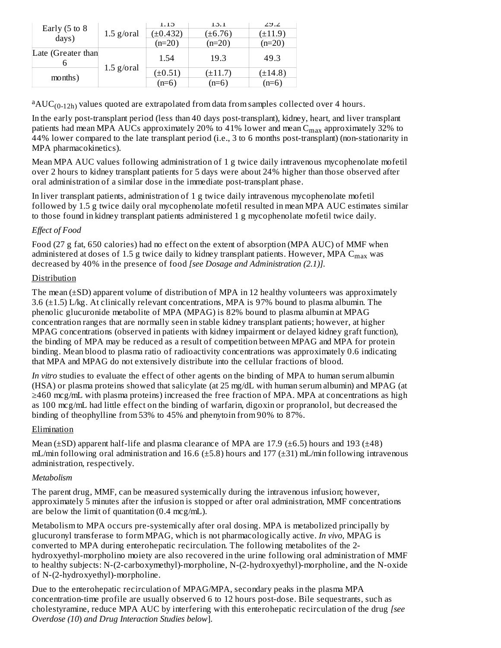|                           |              | 1.15          | 1.5.1        | 2J.2         |
|---------------------------|--------------|---------------|--------------|--------------|
| Early $(5 \text{ to } 8)$ | $1.5$ g/oral | $(\pm 0.432)$ | $(\pm 6.76)$ | (±11.9`      |
| days)                     |              | $(n=20)$      | $(n=20)$     | (n=20)       |
| Late (Greater than        |              | 1.54          | 19.3         | 49.3         |
|                           | $1.5$ g/oral | $(\pm 0.51)$  | $(\pm 11.7)$ | $(\pm 14.8)$ |
| months)                   |              | $(n=6)$       | $(n=6)$      | $(n=6)$      |

 $\mathrm{^{a}AUC_{(0-12h)}}$  values quoted are extrapolated from data from samples collected over 4 hours.

In the early post-transplant period (less than 40 days post-transplant), kidney, heart, and liver transplant patients had mean MPA AUCs approximately 20% to 41% lower and mean  $\mathsf{C}_{\max}$  approximately 32% to 44% lower compared to the late transplant period (i.e., 3 to 6 months post-transplant) (non-stationarity in MPA pharmacokinetics).

Mean MPA AUC values following administration of 1 g twice daily intravenous mycophenolate mofetil over 2 hours to kidney transplant patients for 5 days were about 24% higher than those observed after oral administration of a similar dose in the immediate post-transplant phase.

In liver transplant patients, administration of 1 g twice daily intravenous mycophenolate mofetil followed by 1.5 g twice daily oral mycophenolate mofetil resulted in mean MPA AUC estimates similar to those found in kidney transplant patients administered 1 g mycophenolate mofetil twice daily.

# *Effect of Food*

Food (27 g fat, 650 calories) had no effect on the extent of absorption (MPA AUC) of MMF when administered at doses of 1.5 g twice daily to kidney transplant patients. However, MPA  $\rm{C_{max}}$  was decreased by 40% in the presence of food *[see Dosage and Administration (2.1)].*

# Distribution

The mean ( $\pm$ SD) apparent volume of distribution of MPA in 12 healthy volunteers was approximately 3.6 (±1.5) L/kg. At clinically relevant concentrations, MPA is 97% bound to plasma albumin. The phenolic glucuronide metabolite of MPA (MPAG) is 82% bound to plasma albumin at MPAG concentration ranges that are normally seen in stable kidney transplant patients; however, at higher MPAG concentrations (observed in patients with kidney impairment or delayed kidney graft function), the binding of MPA may be reduced as a result of competition between MPAG and MPA for protein binding. Mean blood to plasma ratio of radioactivity concentrations was approximately 0.6 indicating that MPA and MPAG do not extensively distribute into the cellular fractions of blood.

*In vitro* studies to evaluate the effect of other agents on the binding of MPA to human serum albumin (HSA) or plasma proteins showed that salicylate (at 25 mg/dL with human serum albumin) and MPAG (at ≥460 mcg/mL with plasma proteins) increased the free fraction of MPA. MPA at concentrations as high as 100 mcg/mL had little effect on the binding of warfarin, digoxin or propranolol, but decreased the binding of theophylline from 53% to 45% and phenytoin from 90% to 87%.

### Elimination

Mean ( $\pm$ SD) apparent half-life and plasma clearance of MPA are 17.9 ( $\pm$ 6.5) hours and 193 ( $\pm$ 48) mL/min following oral administration and  $16.6$  ( $\pm$ 5.8) hours and  $177$  ( $\pm$ 31) mL/min following intravenous administration, respectively.

### *Metabolism*

The parent drug, MMF, can be measured systemically during the intravenous infusion; however, approximately 5 minutes after the infusion is stopped or after oral administration, MMF concentrations are below the limit of quantitation  $(0.4 \text{ mcg/mL})$ .

Metabolism to MPA occurs pre-systemically after oral dosing. MPA is metabolized principally by glucuronyl transferase to form MPAG, which is not pharmacologically active. *In vivo*, MPAG is converted to MPA during enterohepatic recirculation. The following metabolites of the 2 hydroxyethyl-morpholino moiety are also recovered in the urine following oral administration of MMF to healthy subjects: N-(2-carboxymethyl)-morpholine, N-(2-hydroxyethyl)-morpholine, and the N-oxide of N-(2-hydroxyethyl)-morpholine.

Due to the enterohepatic recirculation of MPAG/MPA, secondary peaks in the plasma MPA concentration-time profile are usually observed 6 to 12 hours post-dose. Bile sequestrants, such as cholestyramine, reduce MPA AUC by interfering with this enterohepatic recirculation of the drug *[see Overdose (10*) *and Drug Interaction Studies below*].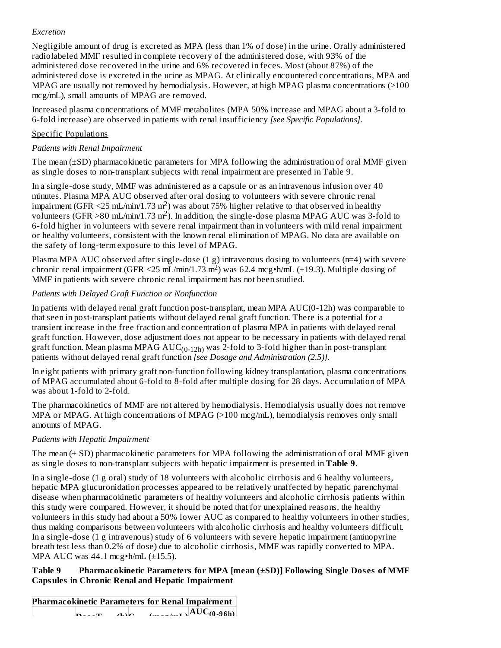# *Excretion*

Negligible amount of drug is excreted as MPA (less than 1% of dose) in the urine. Orally administered radiolabeled MMF resulted in complete recovery of the administered dose, with 93% of the administered dose recovered in the urine and 6% recovered in feces. Most (about 87%) of the administered dose is excreted in the urine as MPAG. At clinically encountered concentrations, MPA and MPAG are usually not removed by hemodialysis. However, at high MPAG plasma concentrations (>100 mcg/mL), small amounts of MPAG are removed.

Increased plasma concentrations of MMF metabolites (MPA 50% increase and MPAG about a 3-fold to 6-fold increase) are observed in patients with renal insufficiency *[see Specific Populations].*

# Specific Populations

# *Patients with Renal Impairment*

The mean (±SD) pharmacokinetic parameters for MPA following the administration of oral MMF given as single doses to non-transplant subjects with renal impairment are presented in Table 9.

In a single-dose study, MMF was administered as a capsule or as an intravenous infusion over 40 minutes. Plasma MPA AUC observed after oral dosing to volunteers with severe chronic renal impairment (GFR <25 mL/min/1.73 m<sup>2</sup>) was about 75% higher relative to that observed in healthy volunteers (GFR > 80 mL/min/1.73 m<sup>2</sup>). In addition, the single-dose plasma MPAG AUC was 3-fold to 6-fold higher in volunteers with severe renal impairment than in volunteers with mild renal impairment or healthy volunteers, consistent with the known renal elimination of MPAG. No data are available on the safety of long-term exposure to this level of MPAG.

Plasma MPA AUC observed after single-dose (1 g) intravenous dosing to volunteers (n=4) with severe chronic renal impairment (GFR <25 mL/min/1.73 m<sup>2</sup>) was 62.4 mcg•h/mL (±19.3). Multiple dosing of MMF in patients with severe chronic renal impairment has not been studied*.*

# *Patients with Delayed Graft Function or Nonfunction*

In patients with delayed renal graft function post-transplant, mean MPA AUC(0-12h) was comparable to that seen in post-transplant patients without delayed renal graft function. There is a potential for a transient increase in the free fraction and concentration of plasma MPA in patients with delayed renal graft function. However, dose adjustment does not appear to be necessary in patients with delayed renal graft function. Mean plasma MPAG  $\mathrm{AUC_{(0\text{-}12h)}}$  was 2-fold to 3-fold higher than in post-transplant patients without delayed renal graft function *[see Dosage and Administration (2.5)].*

In eight patients with primary graft non-function following kidney transplantation, plasma concentrations of MPAG accumulated about 6-fold to 8-fold after multiple dosing for 28 days. Accumulation of MPA was about 1-fold to 2-fold.

The pharmacokinetics of MMF are not altered by hemodialysis. Hemodialysis usually does not remove MPA or MPAG. At high concentrations of MPAG (>100 mcg/mL), hemodialysis removes only small amounts of MPAG.

# *Patients with Hepatic Impairment*

The mean  $(\pm SD)$  pharmacokinetic parameters for MPA following the administration of oral MMF given as single doses to non-transplant subjects with hepatic impairment is presented in **Table 9**.

In a single-dose (1 g oral) study of 18 volunteers with alcoholic cirrhosis and 6 healthy volunteers, hepatic MPA glucuronidation processes appeared to be relatively unaffected by hepatic parenchymal disease when pharmacokinetic parameters of healthy volunteers and alcoholic cirrhosis patients within this study were compared. However, it should be noted that for unexplained reasons, the healthy volunteers in this study had about a 50% lower AUC as compared to healthy volunteers in other studies, thus making comparisons between volunteers with alcoholic cirrhosis and healthy volunteers difficult. In a single-dose (1 g intravenous) study of 6 volunteers with severe hepatic impairment (aminopyrine breath test less than 0.2% of dose) due to alcoholic cirrhosis, MMF was rapidly converted to MPA. MPA AUC was 44.1 mcg•h/mL (±15.5).

# **Table 9 Pharmacokinetic Parameters for MPA [mean (±SD)] Following Single Dos es of MMF Capsules in Chronic Renal and Hepatic Impairment**

**Pharmacokinetic Parameters for Renal Impairment**  $\mathbf{D} = \mathbf{F}$  **(h)**  $\mathbf{C} = \mathbf{F}$ **max max**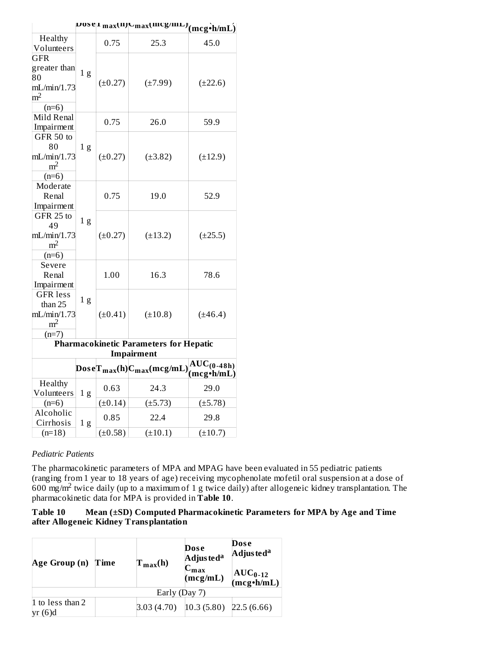|                                                                              |                |              | posel max(11)  Cmax(111Cg/111L)  $(\underline{m} \underline{c} \underline{g \cdot \underline{h} / \underline{m} L})$ |                 |
|------------------------------------------------------------------------------|----------------|--------------|----------------------------------------------------------------------------------------------------------------------|-----------------|
| Healthy                                                                      |                | 0.75         | 25.3                                                                                                                 | 45.0            |
| Volunteers                                                                   |                |              |                                                                                                                      |                 |
| <b>GFR</b><br>greater than<br>80<br>mL/min/1.73<br>m <sup>2</sup><br>$(n=6)$ | 1 <sub>g</sub> | $(\pm 0.27)$ | $(\pm 7.99)$                                                                                                         | $(\pm 22.6)$    |
| Mild Renal                                                                   |                | 0.75         | 26.0                                                                                                                 | 59.9            |
| Impairment                                                                   |                |              |                                                                                                                      |                 |
| GFR 50 to<br>80<br>mL/min/1.73<br>m <sup>2</sup><br>$(n=6)$                  | 1 <sub>g</sub> | $(\pm 0.27)$ | $(\pm 3.82)$                                                                                                         | $(\pm 12.9)$    |
| Moderate<br>Renal<br>Impairment                                              |                | 0.75         | 19.0                                                                                                                 | 52.9            |
| GFR 25 to<br>49<br>mL/min/1.73<br>m <sup>2</sup><br>$(n=6)$                  | 1 <sub>g</sub> | $(\pm 0.27)$ | $(\pm 13.2)$                                                                                                         | $(\pm 25.5)$    |
| Severe<br>Renal<br>Impairment                                                |                | 1.00         | 16.3                                                                                                                 | 78.6            |
| <b>GFR</b> less<br>than 25<br>mL/min/1.73<br>m <sup>2</sup><br>$(n=7)$       | 1 <sub>g</sub> | $(\pm 0.41)$ | $(\pm 10.8)$                                                                                                         | $(\pm 46.4)$    |
|                                                                              |                |              | <b>Pharmacokinetic Parameters for Hepatic</b>                                                                        |                 |
|                                                                              |                |              | Impairment                                                                                                           |                 |
|                                                                              |                |              |                                                                                                                      | $AUC_{(0-48h)}$ |
| Healthy<br>Volunteers                                                        | 1 <sub>g</sub> | 0.63         | 24.3                                                                                                                 | 29.0            |
| $(n=6)$                                                                      |                | $(\pm 0.14)$ | $(\pm 5.73)$                                                                                                         | $(\pm 5.78)$    |
| Alcoholic<br>Cirrhosis                                                       | 1 <sub>g</sub> | 0.85         | 22.4                                                                                                                 | 29.8            |
| $(n=18)$                                                                     |                | $(\pm 0.58)$ | $(\pm 10.1)$                                                                                                         | $(\pm 10.7)$    |

# *Pediatric Patients*

The pharmacokinetic parameters of MPA and MPAG have been evaluated in 55 pediatric patients (ranging from 1 year to 18 years of age) receiving mycophenolate mofetil oral suspension at a dose of  $600$  mg/m<sup>2</sup> twice daily (up to a maximum of 1 g twice daily) after allogeneic kidney transplantation. The pharmacokinetic data for MPA is provided in **Table 10**.

# **Table 10 Mean (±SD) Computed Pharmacokinetic Parameters for MPA by Age and Time after Allogeneic Kidney Transplantation**

| Age Group (n)                  | Time | $T_{max}(h)$                                                                          | Dose<br>Adjus ted <sup>a</sup><br>$\mathbf{C_{max}}$<br>(mcg/mL) | Dose<br>Adjusted <sup>a</sup><br>$AUC_{0-12}$<br>(mcg•h/mL) |
|--------------------------------|------|---------------------------------------------------------------------------------------|------------------------------------------------------------------|-------------------------------------------------------------|
|                                |      | Early (Day 7)                                                                         |                                                                  |                                                             |
| 1 to less than 2<br>(6)d<br>yr |      | $\left 3.03\left(4.70\right)\right $ $\left 10.3\left(5.80\right)\right $ 22.5 (6.66) |                                                                  |                                                             |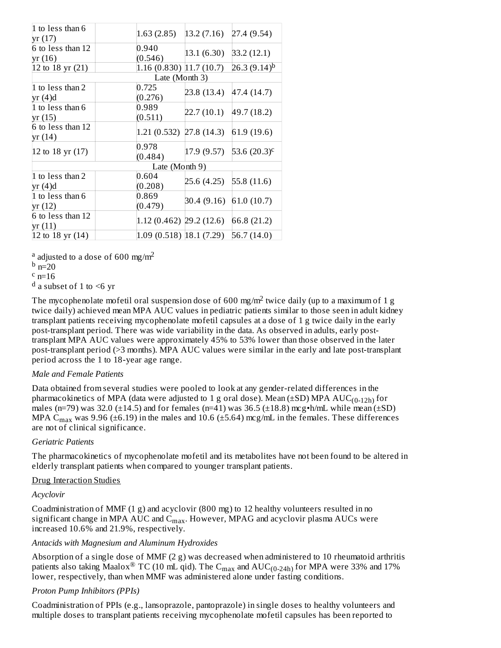| 1 to less than 6<br>yr (17)  | 1.63(2.85)                 | 13.2(7.16)                | 27.4 (9.54)                  |
|------------------------------|----------------------------|---------------------------|------------------------------|
| 6 to less than 12<br>yr (16) | 0.940<br>(0.546)           | 13.1 (6.30)               | 33.2(12.1)                   |
| 12 to 18 yr (21)             | $1.16(0.830)$ $11.7(10.7)$ |                           | $26.3(9.14)^{b}$             |
|                              | Late (Month 3)             |                           |                              |
| 1 to less than 2<br>yr (4)d  | 0.725<br>(0.276)           | 23.8 (13.4) 47.4 (14.7)   |                              |
| 1 to less than 6<br>yr (15)  | 0.989<br>(0.511)           |                           | $22.7(10.1)$ 49.7 (18.2)     |
| 6 to less than 12<br>yr(14)  |                            | $1.21(0.532)$ 27.8 (14.3) | 61.9(19.6)                   |
| 12 to 18 yr $(17)$           | 0.978<br>(0.484)           |                           | $17.9(9.57)$ 53.6 $(20.3)^c$ |
|                              | Late (Month 9)             |                           |                              |
| 1 to less than 2<br>yr (4)d  | 0.604<br>(0.208)           | $25.6(4.25)$ 55.8 (11.6)  |                              |
| 1 to less than 6<br>yr(12)   | 0.869<br>(0.479)           |                           | 30.4 (9.16) 61.0 (10.7)      |
| 6 to less than 12<br>yr (11) |                            | $1.12(0.462)$ 29.2 (12.6) | 66.8 (21.2)                  |
| 12 to 18 yr $(14)$           | 1.09 (0.518) [18.1 (7.29)  |                           | 56.7(14.0)                   |

<sup>a</sup> adjusted to a dose of 600 mg/m<sup>2</sup>

### $^{\rm b}$  n=20

 $c_{n=16}$ 

 $^d$  a subset of 1 to  $\leq$ 6 yr

The mycophenolate mofetil oral suspension dose of 600 mg/m<sup>2</sup> twice daily (up to a maximum of 1 g twice daily) achieved mean MPA AUC values in pediatric patients similar to those seen in adult kidney transplant patients receiving mycophenolate mofetil capsules at a dose of 1 g twice daily in the early post-transplant period. There was wide variability in the data. As observed in adults, early posttransplant MPA AUC values were approximately 45% to 53% lower than those observed in the later post-transplant period (>3 months). MPA AUC values were similar in the early and late post-transplant period across the 1 to 18-year age range.

# *Male and Female Patients*

Data obtained from several studies were pooled to look at any gender-related differences in the pharmacokinetics of MPA (data were adjusted to 1 g oral dose). Mean (±SD) MPA  $\mathrm{AUC_{(0\text{-}12h)}}$  for males (n=79) was 32.0 ( $\pm$ 14.5) and for females (n=41) was 36.5 ( $\pm$ 18.8) mcg•h/mL while mean ( $\pm$ SD) MPA C $_{\rm max}$  was 9.96 (±6.19) in the males and 10.6 (±5.64) mcg/mL in the females. These differences are not of clinical significance.

### *Geriatric Patients*

The pharmacokinetics of mycophenolate mofetil and its metabolites have not been found to be altered in elderly transplant patients when compared to younger transplant patients.

### Drug Interaction Studies

### *Acyclovir*

Coadministration of MMF (1 g) and acyclovir (800 mg) to 12 healthy volunteers resulted in no significant change in MPA AUC and  $\mathsf{C}_{\max}.$  However, MPAG and acyclovir plasma AUCs were increased 10.6% and 21.9%, respectively.

# *Antacids with Magnesium and Aluminum Hydroxides*

Absorption of a single dose of MMF  $(2 g)$  was decreased when administered to 10 rheumatoid arthritis patients also taking Maalox<sup>®</sup> TC (10 mL qid). The C<sub>max</sub> and AUC<sub>(0-24h)</sub> for MPA were 33% and 17% lower, respectively, than when MMF was administered alone under fasting conditions.

# *Proton Pump Inhibitors (PPIs)*

Coadministration of PPIs (e.g., lansoprazole, pantoprazole) in single doses to healthy volunteers and multiple doses to transplant patients receiving mycophenolate mofetil capsules has been reported to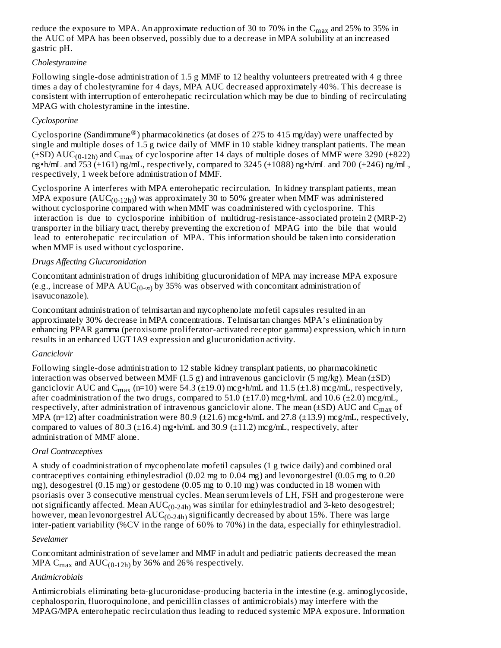reduce the exposure to MPA. An approximate reduction of 30 to 70% in the  $\rm{C_{max}}$  and 25% to 35% in the AUC of MPA has been observed, possibly due to a decrease in MPA solubility at an increased gastric pH.

# *Cholestyramine*

Following single-dose administration of 1.5 g MMF to 12 healthy volunteers pretreated with 4 g three times a day of cholestyramine for 4 days, MPA AUC decreased approximately 40%. This decrease is consistent with interruption of enterohepatic recirculation which may be due to binding of recirculating MPAG with cholestyramine in the intestine.

# *Cyclosporine*

Cyclosporine (Sandimmune $^circledown$ ) pharmacokinetics (at doses of 275 to 415 mg/day) were unaffected by single and multiple doses of 1.5 g twice daily of MMF in 10 stable kidney transplant patients. The mean  $(\pm SD) \,\mathrm{AUC}_{(0-12h)}$  and  $C_{\text{max}}$  of cyclosporine after 14 days of multiple doses of MMF were 3290 ( $\pm 822$ ) ng•h/mL and 753 (±161) ng/mL, respectively, compared to 3245 (±1088) ng•h/mL and 700 (±246) ng/mL, respectively, 1 week before administration of MMF.

Cyclosporine A interferes with MPA enterohepatic recirculation. In kidney transplant patients, mean MPA exposure  $(AUC_{(0-12h)})$  was approximately 30 to 50% greater when MMF was administered without cyclosporine compared with when MMF was coadministered with cyclosporine. This interaction is due to cyclosporine inhibition of multidrug-resistance-associated protein 2 (MRP-2) transporter in the biliary tract, thereby preventing the excretion of MPAG into the bile that would lead to enterohepatic recirculation of MPA. This information should be taken into consideration when MMF is used without cyclosporine.

# *Drugs Affecting Glucuronidation*

Concomitant administration of drugs inhibiting glucuronidation of MPA may increase MPA exposure (e.g., increase of MPA  $\mathrm{AUC_{(0-\infty)}}$  by 35% was observed with concomitant administration of isavuconazole).

Concomitant administration of telmisartan and mycophenolate mofetil capsules resulted in an approximately 30% decrease in MPA concentrations. Telmisartan changes MPA's elimination by enhancing PPAR gamma (peroxisome proliferator-activated receptor gamma) expression, which in turn results in an enhanced UGT1A9 expression and glucuronidation activity.

### *Ganciclovir*

Following single-dose administration to 12 stable kidney transplant patients, no pharmacokinetic interaction was observed between MMF  $(1.5 g)$  and intravenous ganciclovir  $(5 mg/kg)$ . Mean  $(\pm SD)$ ganciclovir AUC and C $_{\rm max}$  (n=10) were 54.3 (±19.0) mcg•h/mL and 11.5 (±1.8) mcg/mL, respectively, after coadministration of the two drugs, compared to 51.0  $(\pm 17.0)$  mcg•h/mL and 10.6  $(\pm 2.0)$  mcg/mL, respectively, after administration of intravenous ganciclovir alone. The mean (±SD) AUC and  $\mathsf{C}_{\max}$  of MPA (n=12) after coadministration were 80.9 ( $\pm$ 21.6) mcg•h/mL and 27.8 ( $\pm$ 13.9) mcg/mL, respectively, compared to values of 80.3 ( $\pm$ 16.4) mg•h/mL and 30.9 ( $\pm$ 11.2) mcg/mL, respectively, after administration of MMF alone.

### *Oral Contraceptives*

A study of coadministration of mycophenolate mofetil capsules (1 g twice daily) and combined oral contraceptives containing ethinylestradiol (0.02 mg to 0.04 mg) and levonorgestrel (0.05 mg to 0.20 mg), desogestrel (0.15 mg) or gestodene (0.05 mg to 0.10 mg) was conducted in 18 women with psoriasis over 3 consecutive menstrual cycles. Mean serum levels of LH, FSH and progesterone were not significantly affected. Mean  $\mathrm{AUC_{(0\text{-}24h)}}$  was similar for ethinylestradiol and 3-keto desogestrel; however, mean levonorgestrel  $\mathrm{AUC_{(0\text{-}24h)}}$  significantly decreased by about 15%. There was large inter-patient variability (%CV in the range of 60% to 70%) in the data, especially for ethinylestradiol.

### *Sevelamer*

Concomitant administration of sevelamer and MMF in adult and pediatric patients decreased the mean MPA  $C_{\text{max}}$  and  $\text{AUC}_{(0-12h)}$  by 36% and 26% respectively.

### *Antimicrobials*

Antimicrobials eliminating beta-glucuronidase-producing bacteria in the intestine (e.g. aminoglycoside, cephalosporin, fluoroquinolone, and penicillin classes of antimicrobials) may interfere with the MPAG/MPA enterohepatic recirculation thus leading to reduced systemic MPA exposure. Information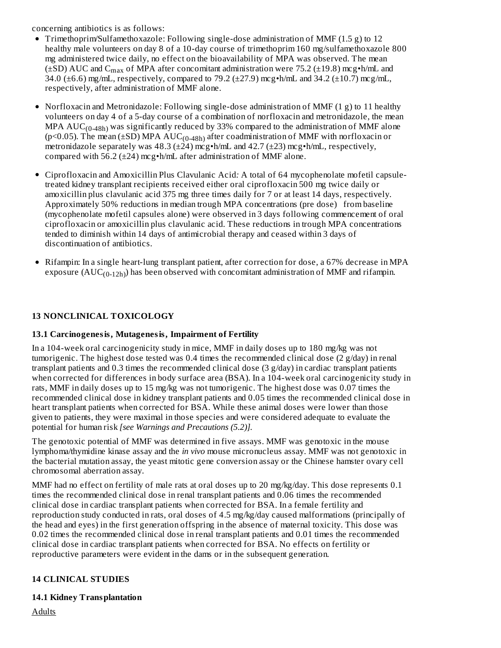concerning antibiotics is as follows:

- Trimethoprim/Sulfamethoxazole: Following single-dose administration of MMF (1.5 g) to 12 healthy male volunteers on day 8 of a 10-day course of trimethoprim 160 mg/sulfamethoxazole 800 mg administered twice daily, no effect on the bioavailability of MPA was observed. The mean ( $\pm$ SD) AUC and C<sub>max</sub> of MPA after concomitant administration were 75.2 ( $\pm$ 19.8) mcg•h/mL and 34.0 ( $\pm$ 6.6) mg/mL, respectively, compared to 79.2 ( $\pm$ 27.9) mcg•h/mL and 34.2 ( $\pm$ 10.7) mcg/mL, respectively, after administration of MMF alone.
- Norfloxacin and Metronidazole: Following single-dose administration of MMF (1 g) to 11 healthy volunteers on day 4 of a 5-day course of a combination of norfloxacin and metronidazole, the mean MPA  $AUC_{(0-48h)}$  was significantly reduced by 33% compared to the administration of MMF alone (p<0.05). The mean (±SD) MPA  $AUC_{(0-48h)}$  after coadministration of MMF with norfloxacin or metronidazole separately was 48.3 ( $\pm$ 24) mcg•h/mL and 42.7 ( $\pm$ 23) mcg•h/mL, respectively, compared with 56.2 ( $\pm$ 24) mcg $\cdot$ h/mL after administration of MMF alone.
- Ciprofloxacin and Amoxicillin Plus Clavulanic Acid*:* A total of 64 mycophenolate mofetil capsuletreated kidney transplant recipients received either oral ciprofloxacin 500 mg twice daily or amoxicillin plus clavulanic acid 375 mg three times daily for 7 or at least 14 days, respectively. Approximately 50% reductions in median trough MPA concentrations (pre dose) from baseline (mycophenolate mofetil capsules alone) were observed in 3 days following commencement of oral ciprofloxacin or amoxicillin plus clavulanic acid. These reductions in trough MPA concentrations tended to diminish within 14 days of antimicrobial therapy and ceased within 3 days of discontinuation of antibiotics.
- Rifampin: In a single heart-lung transplant patient, after correction for dose, a 67% decrease in MPA exposure  $(AUC_{(0-12h)})$  has been observed with concomitant administration of MMF and rifampin.

# **13 NONCLINICAL TOXICOLOGY**

# **13.1 Carcinogenesis, Mutagenesis, Impairment of Fertility**

In a 104-week oral carcinogenicity study in mice, MMF in daily doses up to 180 mg/kg was not tumorigenic. The highest dose tested was 0.4 times the recommended clinical dose (2 g/day) in renal transplant patients and  $0.3$  times the recommended clinical dose  $(3 g/day)$  in cardiac transplant patients when corrected for differences in body surface area (BSA). In a 104-week oral carcinogenicity study in rats, MMF in daily doses up to 15 mg/kg was not tumorigenic. The highest dose was 0.07 times the recommended clinical dose in kidney transplant patients and 0.05 times the recommended clinical dose in heart transplant patients when corrected for BSA. While these animal doses were lower than those given to patients, they were maximal in those species and were considered adequate to evaluate the potential for human risk *[see Warnings and Precautions (5.2)].*

The genotoxic potential of MMF was determined in five assays. MMF was genotoxic in the mouse lymphoma/thymidine kinase assay and the *in vivo* mouse micronucleus assay. MMF was not genotoxic in the bacterial mutation assay, the yeast mitotic gene conversion assay or the Chinese hamster ovary cell chromosomal aberration assay.

MMF had no effect on fertility of male rats at oral doses up to 20 mg/kg/day. This dose represents 0.1 times the recommended clinical dose in renal transplant patients and 0.06 times the recommended clinical dose in cardiac transplant patients when corrected for BSA. In a female fertility and reproduction study conducted in rats, oral doses of 4.5 mg/kg/day caused malformations (principally of the head and eyes) in the first generation offspring in the absence of maternal toxicity. This dose was 0.02 times the recommended clinical dose in renal transplant patients and 0.01 times the recommended clinical dose in cardiac transplant patients when corrected for BSA. No effects on fertility or reproductive parameters were evident in the dams or in the subsequent generation.

# **14 CLINICAL STUDIES**

### **14.1 Kidney Transplantation**

**Adults**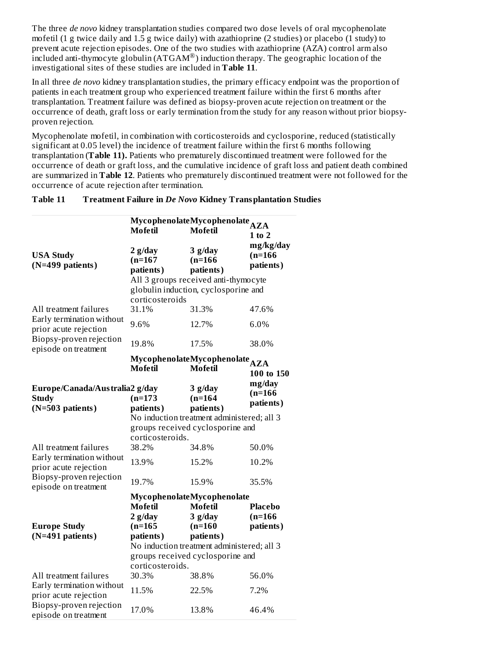The three *de novo* kidney transplantation studies compared two dose levels of oral mycophenolate mofetil (1 g twice daily and 1.5 g twice daily) with azathioprine (2 studies) or placebo (1 study) to prevent acute rejection episodes. One of the two studies with azathioprine (AZA) control arm also  $\frac{1}{2}$  included anti-thymocyte globulin (ATGAM®) induction therapy. The geographic location of the investigational sites of these studies are included in **Table 11**.

In all three *de novo* kidney transplantation studies, the primary efficacy endpoint was the proportion of patients in each treatment group who experienced treatment failure within the first 6 months after transplantation. Treatment failure was defined as biopsy-proven acute rejection on treatment or the occurrence of death, graft loss or early termination from the study for any reason without prior biopsyproven rejection.

Mycophenolate mofetil, in combination with corticosteroids and cyclosporine, reduced (statistically significant at 0.05 level) the incidence of treatment failure within the first 6 months following transplantation (**Table 11).** Patients who prematurely discontinued treatment were followed for the occurrence of death or graft loss, and the cumulative incidence of graft loss and patient death combined are summarized in **Table 12**. Patients who prematurely discontinued treatment were not followed for the occurrence of acute rejection after termination.

| <b>Treatment Failure in De Novo Kidney Transplantation Studies</b><br>Table 11 |
|--------------------------------------------------------------------------------|
|--------------------------------------------------------------------------------|

|                                                                    | <b>Mofetil</b>                                                                 | MycophenolateMycophenolate AZA<br><b>Mofetil</b> | $1$ to $2$                          |  |
|--------------------------------------------------------------------|--------------------------------------------------------------------------------|--------------------------------------------------|-------------------------------------|--|
| <b>USA Study</b><br>$(N=499$ patients)                             | $2$ g/day<br>$(n=167)$<br>patients)                                            | $3$ g/day<br>$(n=166)$<br>patients)              | mg/kg/day<br>$(n=166)$<br>patients) |  |
|                                                                    |                                                                                | All 3 groups received anti-thymocyte             |                                     |  |
|                                                                    | corticosteroids                                                                | globulin induction, cyclosporine and             |                                     |  |
| All treatment failures                                             | 31.1%                                                                          | 31.3%                                            | 47.6%                               |  |
| Early termination without<br>prior acute rejection                 | 9.6%                                                                           | 12.7%                                            | 6.0%                                |  |
| Biopsy-proven rejection<br>episode on treatment                    | 19.8%                                                                          | 17.5%                                            | 38.0%                               |  |
|                                                                    |                                                                                | MycophenolateMycophenolate <sub>AZA</sub>        |                                     |  |
|                                                                    | Mofetil                                                                        | Mofetil                                          | 100 to 150                          |  |
| Europe/Canada/Australia2 g/day<br><b>Study</b><br>(N=503 patients) | $(n=173)$<br>patients)                                                         | $3$ g/day<br>$(n=164)$<br>patients)              | mg/day<br>$(n=166)$<br>patients)    |  |
|                                                                    |                                                                                | No induction treatment administered; all 3       |                                     |  |
|                                                                    |                                                                                | groups received cyclosporine and                 |                                     |  |
|                                                                    | corticosteroids.                                                               |                                                  |                                     |  |
| All treatment failures                                             | 38.2%                                                                          | 34.8%                                            | 50.0%                               |  |
| Early termination without<br>prior acute rejection                 | 13.9%                                                                          | 15.2%                                            | 10.2%                               |  |
| Biopsy-proven rejection<br>episode on treatment                    | 19.7%                                                                          | 15.9%                                            | 35.5%                               |  |
|                                                                    |                                                                                | MycophenolateMycophenolate                       |                                     |  |
|                                                                    | <b>Mofetil</b>                                                                 | <b>Mofetil</b>                                   | <b>Placebo</b>                      |  |
|                                                                    | $2$ g/day                                                                      | $3$ g/day                                        | $(n=166)$                           |  |
| <b>Europe Study</b>                                                | $(n=165)$                                                                      | $(n=160)$                                        | patients)                           |  |
| (N=491 patients)                                                   | patients)                                                                      | patients)                                        |                                     |  |
|                                                                    | No induction treatment administered; all 3<br>groups received cyclosporine and |                                                  |                                     |  |
|                                                                    | corticosteroids.                                                               |                                                  |                                     |  |
| All treatment failures                                             | 30.3%                                                                          | 38.8%                                            | 56.0%                               |  |
| Early termination without<br>prior acute rejection                 | 11.5%                                                                          | 22.5%                                            | 7.2%                                |  |
| Biopsy-proven rejection<br>episode on treatment                    | 17.0%                                                                          | 13.8%                                            | 46.4%                               |  |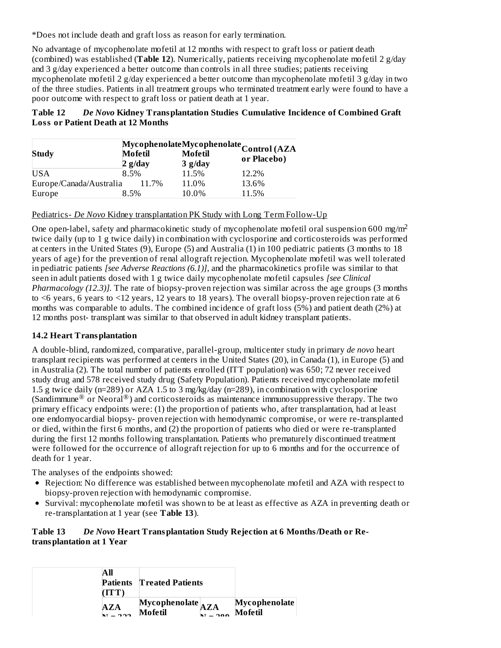\*Does not include death and graft loss as reason for early termination.

No advantage of mycophenolate mofetil at 12 months with respect to graft loss or patient death (combined) was established (**Table 12**). Numerically, patients receiving mycophenolate mofetil 2 g/day and 3 g/day experienced a better outcome than controls in all three studies; patients receiving mycophenolate mofetil 2 g/day experienced a better outcome than mycophenolate mofetil 3 g/day in two of the three studies. Patients in all treatment groups who terminated treatment early were found to have a poor outcome with respect to graft loss or patient death at 1 year.

# **Table 12** *De Novo* **Kidney Transplantation Studies Cumulative Incidence of Combined Graft Loss or Patient Death at 12 Months**

|                         | MycophenolateMycophenolateControl (AZA |       |                    |             |  |  |
|-------------------------|----------------------------------------|-------|--------------------|-------------|--|--|
| <b>Study</b>            | <b>Mofetil</b><br>$2$ g/day            |       | Mofetil            | or Placebo) |  |  |
| <b>USA</b>              | 8.5%                                   |       | $3$ g/day<br>11.5% | 12.2%       |  |  |
| Europe/Canada/Australia |                                        | 11.7% | 11.0%              | 13.6%       |  |  |
| Europe                  | 8.5%                                   |       | 10.0%              | 11.5%       |  |  |

Pediatrics- *De Novo* Kidney transplantation PK Study with Long Term Follow-Up

One open-label, safety and pharmacokinetic study of mycophenolate mofetil oral suspension 600 mg/m<sup>2</sup> twice daily (up to 1 g twice daily) in combination with cyclosporine and corticosteroids was performed at centers in the United States (9), Europe (5) and Australia (1) in 100 pediatric patients (3 months to 18 years of age) for the prevention of renal allograft rejection. Mycophenolate mofetil was well tolerated in pediatric patients *[see Adverse Reactions (6.1)]*, and the pharmacokinetics profile was similar to that seen in adult patients dosed with 1 g twice daily mycophenolate mofetil capsules *[see Clinical Pharmacology (12.3)].* The rate of biopsy-proven rejection was similar across the age groups (3 months to  $\leq$  6 years, 6 years to  $\leq$  12 years, 12 years to 18 years). The overall biopsy-proven rejection rate at 6 months was comparable to adults. The combined incidence of graft loss (5%) and patient death (2%) at 12 months post- transplant was similar to that observed in adult kidney transplant patients.

# **14.2 Heart Transplantation**

A double-blind, randomized, comparative, parallel-group, multicenter study in primary *de novo* heart transplant recipients was performed at centers in the United States (20), in Canada (1), in Europe (5) and in Australia (2). The total number of patients enrolled (ITT population) was 650; 72 never received study drug and 578 received study drug (Safety Population). Patients received mycophenolate mofetil 1.5 g twice daily (n=289) or AZA 1.5 to 3 mg/kg/day (n=289), in combination with cyclosporine (Sandimmune<sup>®</sup> or Neoral<sup>®</sup>) and corticosteroids as maintenance immunosuppressive therapy. The two primary efficacy endpoints were: (1) the proportion of patients who, after transplantation, had at least one endomyocardial biopsy- proven rejection with hemodynamic compromise, or were re-transplanted or died, within the first 6 months, and (2) the proportion of patients who died or were re-transplanted during the first 12 months following transplantation. Patients who prematurely discontinued treatment were followed for the occurrence of allograft rejection for up to 6 months and for the occurrence of death for 1 year.

The analyses of the endpoints showed:

- Rejection: No difference was established between mycophenolate mofetil and AZA with respect to biopsy-proven rejection with hemodynamic compromise.
- Survival: mycophenolate mofetil was shown to be at least as effective as AZA in preventing death or re-transplantation at 1 year (see **Table 13**).

# **Table 13** *De Novo* **Heart Transplantation Study Rejection at 6 Months/Death or Retransplantation at 1 Year**

| All                | <b>Patients</b> Treated Patients |               |
|--------------------|----------------------------------|---------------|
| AZA                | $Mycophenolate$ <sub>AZA</sub>   | Mycophenolate |
| $\mathbf{r}$ – 222 | Mofetil                          | Mofetil       |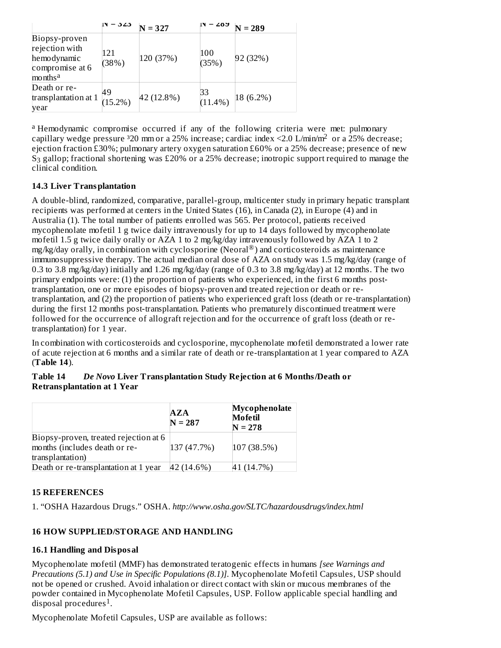|                                                                                          | - 525            | $N = 327$  | ∠oע              | $N = 289$ |
|------------------------------------------------------------------------------------------|------------------|------------|------------------|-----------|
| Biopsy-proven<br>rejection with<br>hemodynamic<br>compromise at 6<br>months <sup>a</sup> | 121<br>(38%)     | 120 (37%)  | 100<br>(35%)     | 92 (32%)  |
| Death or re-<br>transplantation at 1<br>year                                             | 49<br>$(15.2\%)$ | 42 (12.8%) | 33<br>$(11.4\%)$ | 18 (6.2%) |

<sup>a</sup> Hemodynamic compromise occurred if any of the following criteria were met: pulmonary capillary wedge pressure  $320$  mm or a 25% increase; cardiac index <2.0 L/min/m<sup>2</sup> or a 25% decrease; ejection fraction £30%; pulmonary artery oxygen saturation £60% or a 25% decrease; presence of new  $S_3$  gallop; fractional shortening was £20% or a 25% decrease; inotropic support required to manage the clinical condition.

# **14.3 Liver Transplantation**

A double-blind, randomized, comparative, parallel-group, multicenter study in primary hepatic transplant recipients was performed at centers in the United States (16), in Canada (2), in Europe (4) and in Australia (1). The total number of patients enrolled was 565. Per protocol, patients received mycophenolate mofetil 1 g twice daily intravenously for up to 14 days followed by mycophenolate mofetil 1.5 g twice daily orally or AZA 1 to 2 mg/kg/day intravenously followed by AZA 1 to 2 mg/kg/day orally, in combination with cyclosporine (Neoral<sup>®</sup>) and corticosteroids as maintenance immunosuppressive therapy. The actual median oral dose of AZA on study was 1.5 mg/kg/day (range of 0.3 to 3.8 mg/kg/day) initially and 1.26 mg/kg/day (range of 0.3 to 3.8 mg/kg/day) at 12 months. The two primary endpoints were: (1) the proportion of patients who experienced, in the first 6 months posttransplantation, one or more episodes of biopsy-proven and treated rejection or death or retransplantation, and (2) the proportion of patients who experienced graft loss (death or re-transplantation) during the first 12 months post-transplantation. Patients who prematurely discontinued treatment were followed for the occurrence of allograft rejection and for the occurrence of graft loss (death or retransplantation) for 1 year.

In combination with corticosteroids and cyclosporine, mycophenolate mofetil demonstrated a lower rate of acute rejection at 6 months and a similar rate of death or re-transplantation at 1 year compared to AZA (**Table 14**).

**Table 14** *De Novo* **Liver Transplantation Study Rejection at 6 Months/Death or Retransplantation at 1 Year**

|                                                                        | $\mathbf{A} \mathbf{Z} \mathbf{A}$<br>$N = 287$ | Mycophenolate<br><b>Mofetil</b><br>$N = 278$ |
|------------------------------------------------------------------------|-------------------------------------------------|----------------------------------------------|
| Biopsy-proven, treated rejection at 6<br>months (includes death or re- | 137 (47.7%)                                     | 107 (38.5%)                                  |
| transplantation)                                                       |                                                 |                                              |
| Death or re-transplantation at 1 year                                  | 42 (14.6%)                                      | 41 (14.7%)                                   |

# **15 REFERENCES**

1. "OSHA Hazardous Drugs." OSHA. *http://www.osha.gov/SLTC/hazardousdrugs/index.html*

# **16 HOW SUPPLIED/STORAGE AND HANDLING**

### **16.1 Handling and Disposal**

Mycophenolate mofetil (MMF) has demonstrated teratogenic effects in humans *[see Warnings and Precautions (5.1) and Use in Specific Populations (8.1)]*. Mycophenolate Mofetil Capsules, USP should not be opened or crushed. Avoid inhalation or direct contact with skin or mucous membranes of the powder contained in Mycophenolate Mofetil Capsules, USP. Follow applicable special handling and .<br>disposal procedures<sup>1</sup>.

Mycophenolate Mofetil Capsules, USP are available as follows: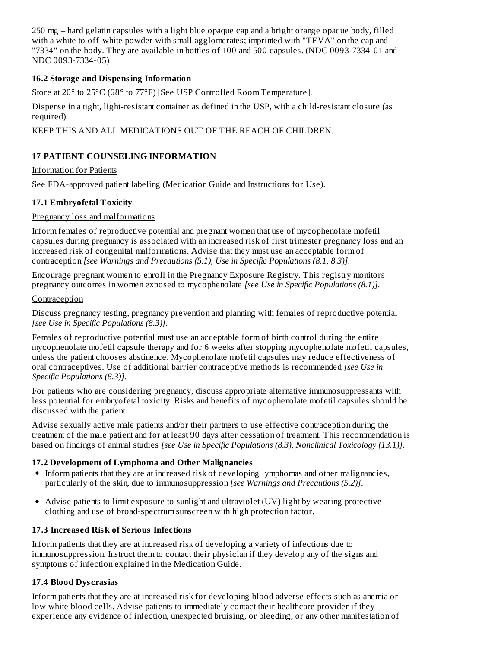250 mg – hard gelatin capsules with a light blue opaque cap and a bright orange opaque body, filled with a white to off-white powder with small agglomerates; imprinted with "TEVA" on the cap and "7334" on the body. They are available in bottles of 100 and 500 capsules. (NDC 0093-7334-01 and NDC 0093-7334-05)

# **16.2 Storage and Dispensing Information**

Store at 20° to 25°C (68° to 77°F) [See USP Controlled Room Temperature].

Dispense in a tight, light-resistant container as defined in the USP, with a child-resistant closure (as required).

KEEP THIS AND ALL MEDICATIONS OUT OF THE REACH OF CHILDREN.

# **17 PATIENT COUNSELING INFORMATION**

Information for Patients

See FDA-approved patient labeling (Medication Guide and Instructions for Use).

# **17.1 Embryofetal Toxicity**

### Pregnancy loss and malformations

Inform females of reproductive potential and pregnant women that use of mycophenolate mofetil capsules during pregnancy is associated with an increased risk of first trimester pregnancy loss and an increased risk of congenital malformations. Advise that they must use an acceptable form of contraception *[see Warnings and Precautions (5.1), Use in Specific Populations (8.1, 8.3)]*.

Encourage pregnant women to enroll in the Pregnancy Exposure Registry. This registry monitors pregnancy outcomes in women exposed to mycophenolate *[see Use in Specific Populations (8.1)].*

### **Contraception**

Discuss pregnancy testing, pregnancy prevention and planning with females of reproductive potential *[see Use in Specific Populations (8.3)].*

Females of reproductive potential must use an acceptable form of birth control during the entire mycophenolate mofetil capsule therapy and for 6 weeks after stopping mycophenolate mofetil capsules, unless the patient chooses abstinence. Mycophenolate mofetil capsules may reduce effectiveness of oral contraceptives. Use of additional barrier contraceptive methods is recommended *[see Use in Specific Populations (8.3)].*

For patients who are considering pregnancy, discuss appropriate alternative immunosuppressants with less potential for embryofetal toxicity. Risks and benefits of mycophenolate mofetil capsules should be discussed with the patient.

Advise sexually active male patients and/or their partners to use effective contraception during the treatment of the male patient and for at least 90 days after cessation of treatment. This recommendation is based on findings of animal studies *[see Use in Specific Populations (8.3), Nonclinical Toxicology (13.1)].*

### **17.2 Development of Lymphoma and Other Malignancies**

- Inform patients that they are at increased risk of developing lymphomas and other malignancies, particularly of the skin, due to immunosuppression *[see Warnings and Precautions (5.2)]*.
- Advise patients to limit exposure to sunlight and ultraviolet (UV) light by wearing protective clothing and use of broad-spectrum sunscreen with high protection factor.

### **17.3 Increas ed Risk of Serious Infections**

Inform patients that they are at increased risk of developing a variety of infections due to immunosuppression. Instruct them to contact their physician if they develop any of the signs and symptoms of infection explained in the Medication Guide.

# **17.4 Blood Dys crasias**

Inform patients that they are at increased risk for developing blood adverse effects such as anemia or low white blood cells. Advise patients to immediately contact their healthcare provider if they experience any evidence of infection, unexpected bruising, or bleeding, or any other manifestation of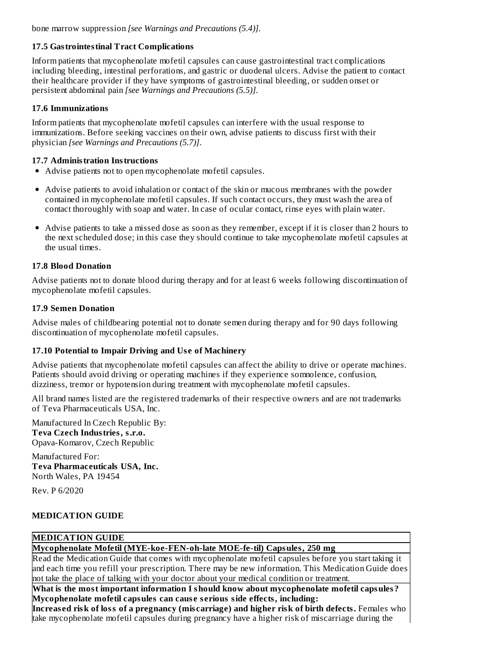bone marrow suppression *[see Warnings and Precautions (5.4)]*.

# **17.5 Gastrointestinal Tract Complications**

Inform patients that mycophenolate mofetil capsules can cause gastrointestinal tract complications including bleeding, intestinal perforations, and gastric or duodenal ulcers. Advise the patient to contact their healthcare provider if they have symptoms of gastrointestinal bleeding, or sudden onset or persistent abdominal pain *[see Warnings and Precautions (5.5)]*.

# **17.6 Immunizations**

Inform patients that mycophenolate mofetil capsules can interfere with the usual response to immunizations. Before seeking vaccines on their own, advise patients to discuss first with their physician *[see Warnings and Precautions (5.7)]*.

# **17.7 Administration Instructions**

- Advise patients not to open mycophenolate mofetil capsules.
- Advise patients to avoid inhalation or contact of the skin or mucous membranes with the powder contained in mycophenolate mofetil capsules. If such contact occurs, they must wash the area of contact thoroughly with soap and water. In case of ocular contact, rinse eyes with plain water.
- Advise patients to take a missed dose as soon as they remember, except if it is closer than 2 hours to the next scheduled dose; in this case they should continue to take mycophenolate mofetil capsules at the usual times.

# **17.8 Blood Donation**

Advise patients not to donate blood during therapy and for at least 6 weeks following discontinuation of mycophenolate mofetil capsules*.*

### **17.9 Semen Donation**

Advise males of childbearing potential not to donate semen during therapy and for 90 days following discontinuation of mycophenolate mofetil capsules.

# **17.10 Potential to Impair Driving and Us e of Machinery**

Advise patients that mycophenolate mofetil capsules can affect the ability to drive or operate machines. Patients should avoid driving or operating machines if they experience somnolence, confusion, dizziness, tremor or hypotension during treatment with mycophenolate mofetil capsules.

All brand names listed are the registered trademarks of their respective owners and are not trademarks of Teva Pharmaceuticals USA, Inc.

Manufactured In Czech Republic By: **Teva Czech Industries, s.r.o.** Opava-Komarov, Czech Republic

Manufactured For: **Teva Pharmaceuticals USA, Inc.** North Wales, PA 19454

Rev. P 6/2020

# **MEDICATION GUIDE**

# **MEDICATION GUIDE**

**Mycophenolate Mofetil (MYE-koe-FEN-oh-late MOE-fe-til) Capsules, 250 mg**

Read the Medication Guide that comes with mycophenolate mofetil capsules before you start taking it and each time you refill your prescription. There may be new information. This Medication Guide does not take the place of talking with your doctor about your medical condition or treatment.

**What is the most important information I should know about mycophenolate mofetil capsules? Mycophenolate mofetil capsules can caus e s erious side effects, including:**

**Increas ed risk of loss of a pregnancy (mis carriage) and higher risk of birth defects.** Females who take mycophenolate mofetil capsules during pregnancy have a higher risk of miscarriage during the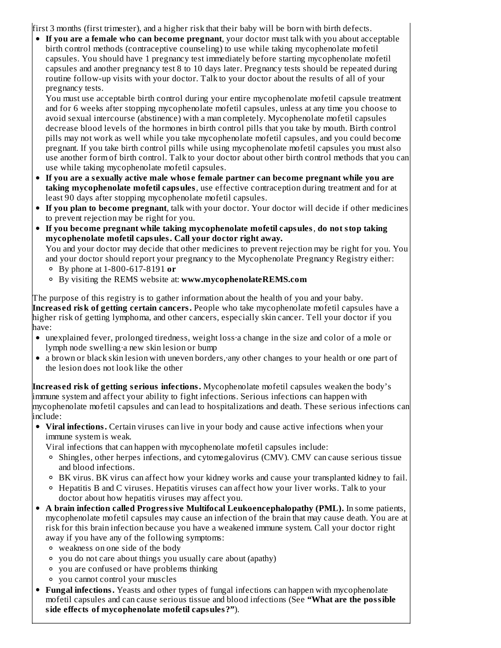first 3 months (first trimester), and a higher risk that their baby will be born with birth defects.

**If you are a female who can become pregnant**, your doctor must talk with you about acceptable birth control methods (contraceptive counseling) to use while taking mycophenolate mofetil capsules. You should have 1 pregnancy test immediately before starting mycophenolate mofetil capsules and another pregnancy test 8 to 10 days later. Pregnancy tests should be repeated during routine follow-up visits with your doctor. Talk to your doctor about the results of all of your pregnancy tests.

You must use acceptable birth control during your entire mycophenolate mofetil capsule treatment and for 6 weeks after stopping mycophenolate mofetil capsules, unless at any time you choose to avoid sexual intercourse (abstinence) with a man completely. Mycophenolate mofetil capsules decrease blood levels of the hormones in birth control pills that you take by mouth. Birth control pills may not work as well while you take mycophenolate mofetil capsules, and you could become pregnant. If you take birth control pills while using mycophenolate mofetil capsules you must also use another form of birth control. Talk to your doctor about other birth control methods that you can use while taking mycophenolate mofetil capsules.

- **If you are a s exually active male whos e female partner can become pregnant while you are taking mycophenolate mofetil capsules**, use effective contraception during treatment and for at least 90 days after stopping mycophenolate mofetil capsules.
- **If you plan to become pregnant**, talk with your doctor. Your doctor will decide if other medicines to prevent rejection may be right for you.
- **If you become pregnant while taking mycophenolate mofetil capsules**, **do not stop taking mycophenolate mofetil capsules. Call your doctor right away.** You and your doctor may decide that other medicines to prevent rejection may be right for you. You and your doctor should report your pregnancy to the Mycophenolate Pregnancy Registry either:
	- By phone at 1-800-617-8191 **or**
	- By visiting the REMS website at: **www.mycophenolateREMS.com**

The purpose of this registry is to gather information about the health of you and your baby. **Increas ed risk of getting certain cancers.** People who take mycophenolate mofetil capsules have a higher risk of getting lymphoma, and other cancers, especially skin cancer. Tell your doctor if you have:

- unexplained fever, prolonged tiredness, weight loss·a change in the size and color of a mole or lymph node swelling·a new skin lesion or bump
- a brown or black skin lesion with uneven borders, any other changes to your health or one part of the lesion does not look like the other

**Increas ed risk of getting s erious infections.** Mycophenolate mofetil capsules weaken the body's immune system and affect your ability to fight infections. Serious infections can happen with mycophenolate mofetil capsules and can lead to hospitalizations and death. These serious infections can include:

**Viral infections.** Certain viruses can live in your body and cause active infections when your immune system is weak.

Viral infections that can happen with mycophenolate mofetil capsules include:

- $\circ$  Shingles, other herpes infections, and cytomegalovirus (CMV). CMV can cause serious tissue and blood infections.
- BK virus. BK virus can affect how your kidney works and cause your transplanted kidney to fail.
- <sup>o</sup> Hepatitis B and C viruses. Hepatitis viruses can affect how your liver works. Talk to your doctor about how hepatitis viruses may affect you.
- **A brain infection called Progressive Multifocal Leukoencephalopathy (PML).** In some patients, mycophenolate mofetil capsules may cause an infection of the brain that may cause death. You are at risk for this brain infection because you have a weakened immune system. Call your doctor right away if you have any of the following symptoms:
	- weakness on one side of the body
	- you do not care about things you usually care about (apathy)
	- you are confused or have problems thinking
	- you cannot control your muscles
- **Fungal infections.** Yeasts and other types of fungal infections can happen with mycophenolate mofetil capsules and can cause serious tissue and blood infections (See **"What are the possible side effects of mycophenolate mofetil capsules?"**).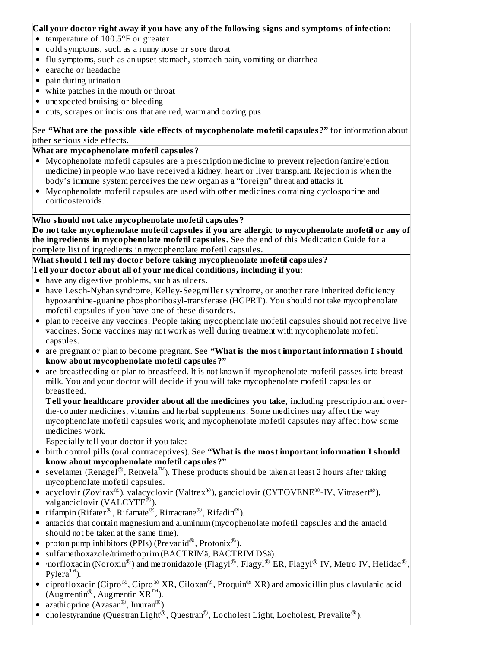### **Call your doctor right away if you have any of the following signs and symptoms of infection:**

- temperature of 100.5°F or greater
- cold symptoms, such as a runny nose or sore throat
- flu symptoms, such as an upset stomach, stomach pain, vomiting or diarrhea
- earache or headache
- pain during urination
- white patches in the mouth or throat
- unexpected bruising or bleeding
- cuts, scrapes or incisions that are red, warm and oozing pus

See **"What are the possible side effects of mycophenolate mofetil capsules?"** for information about other serious side effects.

# **What are mycophenolate mofetil capsules?**

- Mycophenolate mofetil capsules are a prescription medicine to prevent rejection (antirejection medicine) in people who have received a kidney, heart or liver transplant. Rejection is when the body's immune system perceives the new organ as a "foreign" threat and attacks it.
- Mycophenolate mofetil capsules are used with other medicines containing cyclosporine and corticosteroids.

# **Who should not take mycophenolate mofetil capsules?**

**Do not take mycophenolate mofetil capsules if you are allergic to mycophenolate mofetil or any of the ingredients in mycophenolate mofetil capsules.** See the end of this Medication Guide for a complete list of ingredients in mycophenolate mofetil capsules.

**What should I tell my doctor before taking mycophenolate mofetil capsules? Tell your doctor about all of your medical conditions, including if you**:

- have any digestive problems, such as ulcers.
- have Lesch-Nyhan syndrome, Kelley-Seegmiller syndrome, or another rare inherited deficiency hypoxanthine-guanine phosphoribosyl-transferase (HGPRT). You should not take mycophenolate mofetil capsules if you have one of these disorders.
- plan to receive any vaccines. People taking mycophenolate mofetil capsules should not receive live vaccines. Some vaccines may not work as well during treatment with mycophenolate mofetil capsules.
- are pregnant or plan to become pregnant. See **"What is the most important information I should know about mycophenolate mofetil capsules?"**
- are breastfeeding or plan to breastfeed. It is not known if mycophenolate mofetil passes into breast milk. You and your doctor will decide if you will take mycophenolate mofetil capsules or breastfeed.

**Tell your healthcare provider about all the medicines you take,** including prescription and overthe-counter medicines, vitamins and herbal supplements. Some medicines may affect the way mycophenolate mofetil capsules work, and mycophenolate mofetil capsules may affect how some medicines work.

Especially tell your doctor if you take:

- birth control pills (oral contraceptives). See **"What is the most important information I should know about mycophenolate mofetil capsules?"**
- sevelamer (Renagel®, Renvela™). These products should be taken at least 2 hours after taking mycophenolate mofetil capsules.
- acyclovir (Zovirax $^\circledR$ ), valacyclovir (Valtrex $^\circledR$ ), ganciclovir (CYTOVENE $^\circledR$ -IV, Vitrasert $^\circledR$ ), valganciclovir (VALCYTE<sup>®</sup>).
- rifampin (Rifater $^{\circledR}$ , Rifamate $^{\circledR}$ , Rimactane $^{\circledR}$ , Rifadin $^{\circledR}$ ).
- antacids that contain magnesium and aluminum (mycophenolate mofetil capsules and the antacid should not be taken at the same time).
- proton pump inhibitors (PPIs) (Prevacid $^\circledR$ , Protonix $^\circledR$ ).
- sulfamethoxazole/trimethoprim (BACTRIMä, BACTRIM DSä).
- $\cdot$ norfloxacin (Noroxin $^{\circledR}$ ) and metronidazole (Flagyl $^{\circledR}$ , Flagyl $^{\circledR}$  ER, Flagyl $^{\circledR}$  IV, Metro IV, Helidac $^{\circledR}$ ,  $Pylera^{TM}$ ).
- ciprofloxacin (Cipro $^{\circledR}$ , Cipro $^{\circledR}$  XR, Ciloxan $^{\circledR}$ , Proquin $^{\circledR}$  XR) and amoxicillin plus clavulanic acid  $(Augmentin^{\circledR})$ , Augmentin  $\overline{X}R^{TM}$ ).
- azathioprine (Azasan<sup>®</sup>, Imuran<sup>®</sup>).
- cholestyramine (Questran Light $^{\circledR}$ , Questran $^{\circledR}$ , Locholest Light, Locholest, Prevalite $^{\circledR}$ ).  $\bullet$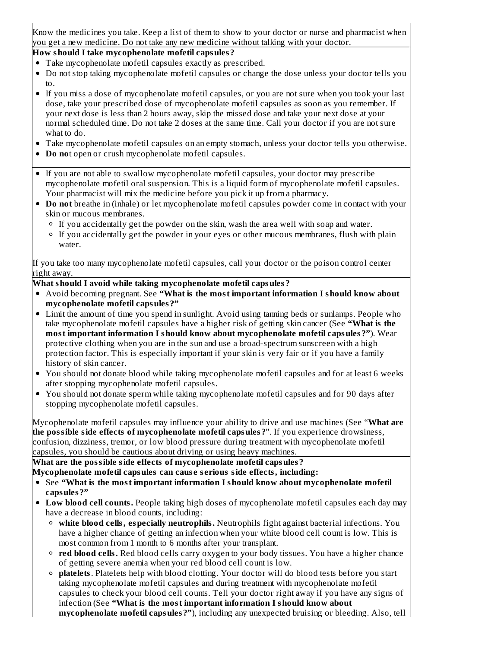Know the medicines you take. Keep a list of them to show to your doctor or nurse and pharmacist when you get a new medicine. Do not take any new medicine without talking with your doctor.

# **How should I take mycophenolate mofetil capsules?**

- Take mycophenolate mofetil capsules exactly as prescribed.
- Do not stop taking mycophenolate mofetil capsules or change the dose unless your doctor tells you to.
- If you miss a dose of mycophenolate mofetil capsules, or you are not sure when you took your last dose, take your prescribed dose of mycophenolate mofetil capsules as soon as you remember. If your next dose is less than 2 hours away, skip the missed dose and take your next dose at your normal scheduled time. Do not take 2 doses at the same time. Call your doctor if you are not sure what to do.
- Take mycophenolate mofetil capsules on an empty stomach, unless your doctor tells you otherwise.
- **Do no**t open or crush mycophenolate mofetil capsules.
- If you are not able to swallow mycophenolate mofetil capsules, your doctor may prescribe mycophenolate mofetil oral suspension. This is a liquid form of mycophenolate mofetil capsules. Your pharmacist will mix the medicine before you pick it up from a pharmacy.
- **Do not** breathe in (inhale) or let mycophenolate mofetil capsules powder come in contact with your skin or mucous membranes.
	- $\circ$  If you accidentally get the powder on the skin, wash the area well with soap and water.
	- If you accidentally get the powder in your eyes or other mucous membranes, flush with plain water.

If you take too many mycophenolate mofetil capsules, call your doctor or the poison control center right away.

# **What should I avoid while taking mycophenolate mofetil capsules?**

- Avoid becoming pregnant. See **"What is the most important information I should know about mycophenolate mofetil capsules?"**
- Limit the amount of time you spend in sunlight. Avoid using tanning beds or sunlamps. People who take mycophenolate mofetil capsules have a higher risk of getting skin cancer (See **"What is the most important information I should know about mycophenolate mofetil capsules?"**). Wear protective clothing when you are in the sun and use a broad-spectrum sunscreen with a high protection factor. This is especially important if your skin is very fair or if you have a family history of skin cancer.
- You should not donate blood while taking mycophenolate mofetil capsules and for at least 6 weeks after stopping mycophenolate mofetil capsules.
- You should not donate sperm while taking mycophenolate mofetil capsules and for 90 days after stopping mycophenolate mofetil capsules.

Mycophenolate mofetil capsules may influence your ability to drive and use machines (See "**What are the possible side effects of mycophenolate mofetil capsules?**". If you experience drowsiness, confusion, dizziness, tremor, or low blood pressure during treatment with mycophenolate mofetil capsules, you should be cautious about driving or using heavy machines.

**What are the possible side effects of mycophenolate mofetil capsules? Mycophenolate mofetil capsules can caus e s erious side effects, including:**

- See **"What is the most important information I should know about mycophenolate mofetil capsules?"**
- **Low blood cell counts.** People taking high doses of mycophenolate mofetil capsules each day may have a decrease in blood counts, including:
	- **white blood cells, especially neutrophils.** Neutrophils fight against bacterial infections. You have a higher chance of getting an infection when your white blood cell count is low. This is most common from 1 month to 6 months after your transplant.
	- **red blood cells.** Red blood cells carry oxygen to your body tissues. You have a higher chance of getting severe anemia when your red blood cell count is low.
	- **platelets**. Platelets help with blood clotting. Your doctor will do blood tests before you start taking mycophenolate mofetil capsules and during treatment with mycophenolate mofetil capsules to check your blood cell counts. Tell your doctor right away if you have any signs of infection (See **"What is the most important information I should know about mycophenolate mofetil capsules?"**), including any unexpected bruising or bleeding. Also, tell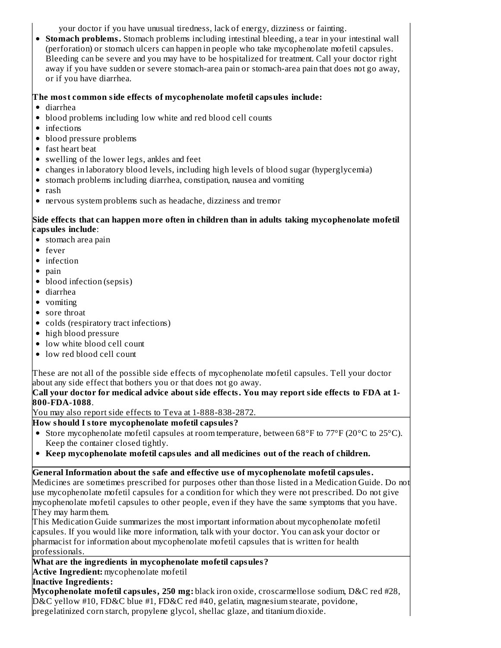your doctor if you have unusual tiredness, lack of energy, dizziness or fainting.

**Stomach problems.** Stomach problems including intestinal bleeding, a tear in your intestinal wall (perforation) or stomach ulcers can happen in people who take mycophenolate mofetil capsules. Bleeding can be severe and you may have to be hospitalized for treatment. Call your doctor right away if you have sudden or severe stomach-area pain or stomach-area pain that does not go away, or if you have diarrhea.

# **The most common side effects of mycophenolate mofetil capsules include:**

- diarrhea
- blood problems including low white and red blood cell counts
- infections
- blood pressure problems
- fast heart beat
- swelling of the lower legs, ankles and feet
- changes in laboratory blood levels, including high levels of blood sugar (hyperglycemia)
- stomach problems including diarrhea, constipation, nausea and vomiting
- $\bullet$  rash
- nervous system problems such as headache, dizziness and tremor

# **Side effects that can happen more often in children than in adults taking mycophenolate mofetil capsules include**:

- stomach area pain
- fever
- infection
- pain
- blood infection (sepsis)
- diarrhea
- vomiting
- sore throat
- colds (respiratory tract infections)
- high blood pressure
- low white blood cell count
- low red blood cell count

These are not all of the possible side effects of mycophenolate mofetil capsules. Tell your doctor about any side effect that bothers you or that does not go away.

# **Call your doctor for medical advice about side effects. You may report side effects to FDA at 1- 800-FDA-1088**.

You may also report side effects to Teva at 1-888-838-2872.

# **How should I store mycophenolate mofetil capsules?**

- Store mycophenolate mofetil capsules at room temperature, between  $68^{\circ}$  F to  $77^{\circ}$  F (20 $^{\circ}$ C to 25 $^{\circ}$ C). Keep the container closed tightly.
- **Keep mycophenolate mofetil capsules and all medicines out of the reach of children.**

# **General Information about the safe and effective us e of mycophenolate mofetil capsules.**

Medicines are sometimes prescribed for purposes other than those listed in a Medication Guide. Do not use mycophenolate mofetil capsules for a condition for which they were not prescribed. Do not give mycophenolate mofetil capsules to other people, even if they have the same symptoms that you have. They may harm them.

This Medication Guide summarizes the most important information about mycophenolate mofetil capsules. If you would like more information, talk with your doctor. You can ask your doctor or pharmacist for information about mycophenolate mofetil capsules that is written for health professionals.

# **What are the ingredients in mycophenolate mofetil capsules?**

**Active Ingredient:** mycophenolate mofetil

# **Inactive Ingredients:**

**Mycophenolate mofetil capsules, 250 mg:** black iron oxide, croscarmellose sodium, D&C red #28, D&C yellow #10, FD&C blue #1, FD&C red #40, gelatin, magnesium stearate, povidone, pregelatinized corn starch, propylene glycol, shellac glaze, and titanium dioxide.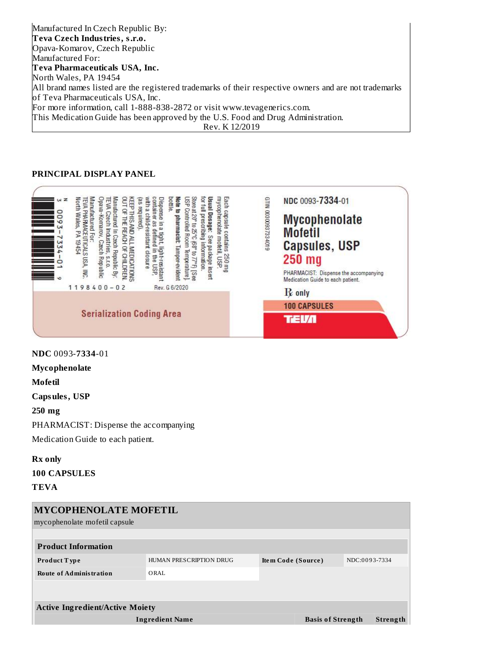Manufactured In Czech Republic By: **Teva Czech Industries, s.r.o.** Opava-Komarov, Czech Republic Manufactured For: **Teva Pharmaceuticals USA, Inc.** North Wales, PA 19454 All brand names listed are the registered trademarks of their respective owners and are not trademarks of Teva Pharmaceuticals USA, Inc. For more information, call 1-888-838-2872 or visit www.tevagenerics.com. This Medication Guide has been approved by the U.S. Food and Drug Administration. Rev. K 12/2019

### **PRINCIPAL DISPLAY PANEL**



**NDC** 0093-**7334**-01

**Mycophenolate**

**Mofetil**

**Capsules, USP**

**250 mg**

PHARMACIST: Dispense the accompanying

Medication Guide to each patient.

**Rx only**

**100 CAPSULES**

**TEVA**

| <b>MYCOPHENOLATE MOFETIL</b>           |                          |                    |               |  |  |  |  |  |  |  |  |
|----------------------------------------|--------------------------|--------------------|---------------|--|--|--|--|--|--|--|--|
| mycophenolate mofetil capsule          |                          |                    |               |  |  |  |  |  |  |  |  |
| <b>Product Information</b>             |                          |                    |               |  |  |  |  |  |  |  |  |
| <b>Product Type</b>                    | HUMAN PRESCRIPTION DRUG  | Item Code (Source) | NDC:0093-7334 |  |  |  |  |  |  |  |  |
| <b>Route of Administration</b>         | ORAL.                    |                    |               |  |  |  |  |  |  |  |  |
|                                        |                          |                    |               |  |  |  |  |  |  |  |  |
| <b>Active Ingredient/Active Moiety</b> |                          |                    |               |  |  |  |  |  |  |  |  |
| <b>Ingredient Name</b>                 | <b>Basis of Strength</b> | Strength           |               |  |  |  |  |  |  |  |  |